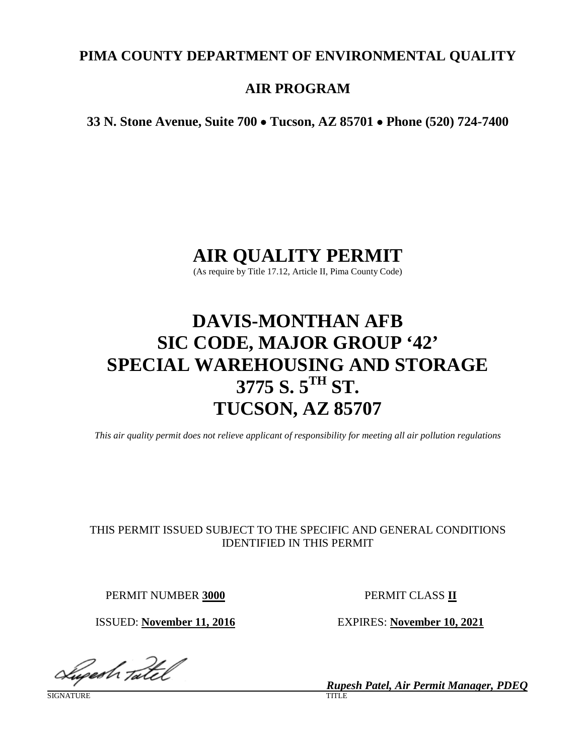# **PIMA COUNTY DEPARTMENT OF ENVIRONMENTAL QUALITY**

# **AIR PROGRAM**

**33 N. Stone Avenue, Suite 700** • **Tucson, AZ 85701** • **Phone (520) 724-7400**

# **AIR QUALITY PERMIT**

(As require by Title 17.12, Article II, Pima County Code)

# **DAVIS-MONTHAN AFB SIC CODE, MAJOR GROUP '42' SPECIAL WAREHOUSING AND STORAGE 3775 S. 5TH ST. TUCSON, AZ 85707**

*This air quality permit does not relieve applicant of responsibility for meeting all air pollution regulations*

# THIS PERMIT ISSUED SUBJECT TO THE SPECIFIC AND GENERAL CONDITIONS IDENTIFIED IN THIS PERMIT

PERMIT NUMBER **3000** PERMIT CLASS **II**

ISSUED: **November 11, 2016** EXPIRES: **November 10, 2021**

Lugesh Tatel

SIGNATURE TITLE THE SERVICE OF THE SERVICE OF THE SERVICE OF THE SERVICE OF THE SERVICE OF THE SERVICE OF THE S

*Rupesh Patel, Air Permit Manager, PDEQ*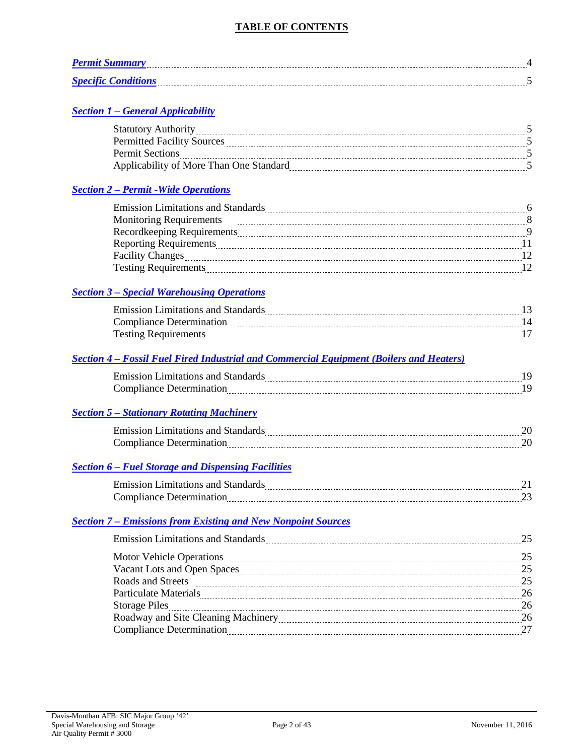# **TABLE OF CONTENTS**

| <b>Permit Summary</b>      |  |
|----------------------------|--|
| <b>Specific Conditions</b> |  |

# *Section 1 – [General Applicability](#page-4-0)*

| <b>Statutory Authority</b>              |  |
|-----------------------------------------|--|
| <b>Permitted Facility Sources</b>       |  |
| <b>Permit Sections</b>                  |  |
| Applicability of More Than One Standard |  |

# *Section 2 – [Permit -Wide Operations](#page-5-0)*

| <b>Emission Limitations and Standards</b> |  |
|-------------------------------------------|--|
| <b>Monitoring Requirements</b>            |  |
| Recordkeeping Requirements                |  |
| <b>Reporting Requirements</b>             |  |
| <b>Facility Changes</b>                   |  |
| <b>Testing Requirements</b>               |  |
|                                           |  |

# *Section 3 – [Special Warehousing Operations](#page-12-0)*

| Emission Limitations and Standards |  |
|------------------------------------|--|
| Compliance Determination           |  |
| <b>Testing Requirements</b>        |  |

# *Section 4 – [Fossil Fuel Fired Industrial and Commercial Equipment \(Boilers and Heaters\)](#page-18-0)*

| <b>Emission Limitations and <math>Y^+</math></b> |  |
|--------------------------------------------------|--|
| . Ieter<br>$1900^\circ$<br>------                |  |

# *Section 5 – [Stationary Rotating Machinery](#page-19-0)*

| <b>Contract Legitation</b><br>anc<br>umurarions : |  |
|---------------------------------------------------|--|
| ∼≏<br>------------                                |  |

# *Section 6 – [Fuel Storage and Dispensing Facilities](#page-20-0)*

| Emission Limitations and $S^*$ |  |
|--------------------------------|--|
| $\lnot$ ance .<br>18 B         |  |

# *Section 7 – [Emissions from Existing and New Nonpoint Sources](#page-24-0)*

| Emission Limitations and Standards Material Communications and Standards Material Communications and Standards Material Communications and Standards Material Communications and Standards Material Communications and Standar |    |
|--------------------------------------------------------------------------------------------------------------------------------------------------------------------------------------------------------------------------------|----|
| Motor Vehicle Operations 25                                                                                                                                                                                                    |    |
|                                                                                                                                                                                                                                | 25 |
|                                                                                                                                                                                                                                |    |
| Particulate Materials 26                                                                                                                                                                                                       |    |
|                                                                                                                                                                                                                                |    |
|                                                                                                                                                                                                                                |    |
|                                                                                                                                                                                                                                |    |
|                                                                                                                                                                                                                                |    |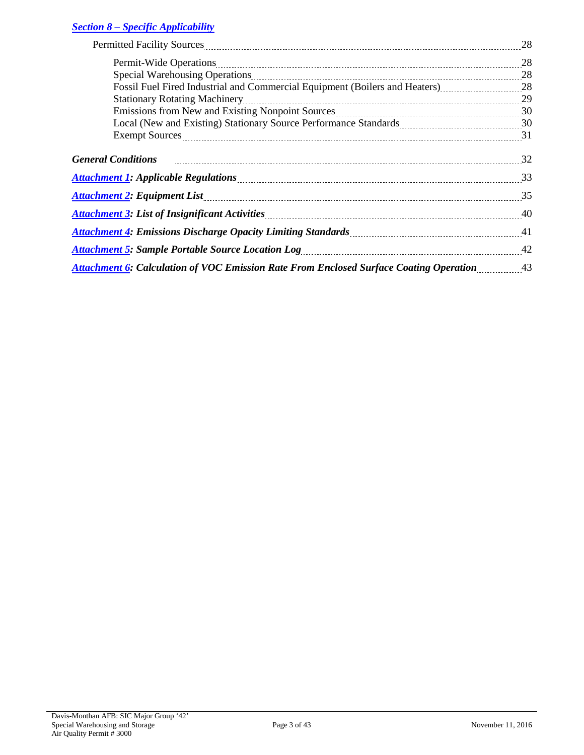# *Section 8 – [Specific Applicability](#page-27-0)*

| Permitted Facility Sources <b>Manual Communities</b> and Termitted Facility Sources                                            | 28 |
|--------------------------------------------------------------------------------------------------------------------------------|----|
|                                                                                                                                |    |
| Special Warehousing Operations 28                                                                                              |    |
| Fossil Fuel Fired Industrial and Commercial Equipment (Boilers and Heaters) [11, 28] [28]                                      |    |
| Stationary Rotating Machinery 29                                                                                               |    |
| Emissions from New and Existing Nonpoint Sources <b>Manual Acces</b> 30                                                        |    |
|                                                                                                                                |    |
| Exempt Sources 21 and the series of the series of the series of the series of the series and the series of the series and $31$ |    |
| General Conditions 22 manual conditions 32                                                                                     |    |
|                                                                                                                                |    |
|                                                                                                                                | 35 |
|                                                                                                                                | 40 |
| Attachment 4: Emissions Discharge Opacity Limiting Standards <b>Mature 2018</b> 11 121 121                                     |    |
| Attachment 5: Sample Portable Source Location Log <b>manual contract of the Contract Contract Contract Contract Co</b>         |    |
|                                                                                                                                |    |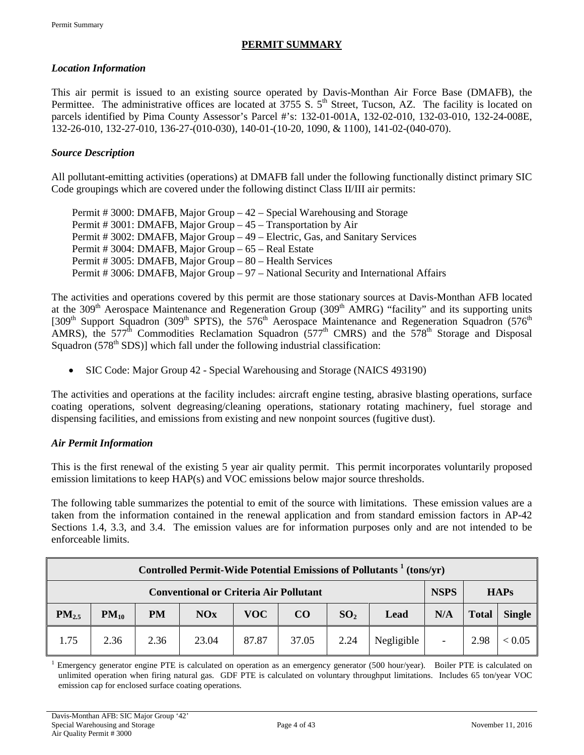# **PERMIT SUMMARY**

# <span id="page-3-0"></span>*Location Information*

This air permit is issued to an existing source operated by Davis-Monthan Air Force Base (DMAFB), the Permittee. The administrative offices are located at  $3755 S$ .  $5<sup>th</sup>$  Street, Tucson, AZ. The facility is located on parcels identified by Pima County Assessor's Parcel #'s: 132-01-001A, 132-02-010, 132-03-010, 132-24-008E, 132-26-010, 132-27-010, 136-27-(010-030), 140-01-(10-20, 1090, & 1100), 141-02-(040-070).

# *Source Description*

All pollutant-emitting activities (operations) at DMAFB fall under the following functionally distinct primary SIC Code groupings which are covered under the following distinct Class II/III air permits:

Permit # 3000: DMAFB, Major Group – 42 – Special Warehousing and Storage Permit # 3001: DMAFB, Major Group – 45 – Transportation by Air Permit # 3002: DMAFB, Major Group – 49 – Electric, Gas, and Sanitary Services Permit # 3004: DMAFB, Major Group – 65 – Real Estate Permit # 3005: DMAFB, Major Group – 80 – Health Services Permit # 3006: DMAFB, Major Group – 97 – National Security and International Affairs

The activities and operations covered by this permit are those stationary sources at Davis-Monthan AFB located at the 309<sup>th</sup> Aerospace Maintenance and Regeneration Group (309<sup>th</sup> AMRG) "facility" and its supporting units [309<sup>th</sup> Support Squadron (309<sup>th</sup> SPTS), the 576<sup>th</sup> Aerospace Maintenance and Regeneration Squadron (576<sup>th</sup> AMRS), the  $577^{\text{th}}$  Commodities Reclamation Squadron ( $577^{\text{th}}$  CMRS) and the  $578^{\text{th}}$  Storage and Disposal Squadron  $(578<sup>th</sup> SDS)$ ] which fall under the following industrial classification:

• SIC Code: Major Group 42 - Special Warehousing and Storage (NAICS 493190)

The activities and operations at the facility includes: aircraft engine testing, abrasive blasting operations, surface coating operations, solvent degreasing/cleaning operations, stationary rotating machinery, fuel storage and dispensing facilities, and emissions from existing and new nonpoint sources (fugitive dust).

# *Air Permit Information*

This is the first renewal of the existing 5 year air quality permit. This permit incorporates voluntarily proposed emission limitations to keep HAP(s) and VOC emissions below major source thresholds.

The following table summarizes the potential to emit of the source with limitations. These emission values are a taken from the information contained in the renewal application and from standard emission factors in AP-42 Sections 1.4, 3.3, and 3.4. The emission values are for information purposes only and are not intended to be enforceable limits.

| Controlled Permit-Wide Potential Emissions of Pollutants <sup>1</sup> (tons/yr) |           |           |                                               |            |       |                 |            |             |              |             |
|---------------------------------------------------------------------------------|-----------|-----------|-----------------------------------------------|------------|-------|-----------------|------------|-------------|--------------|-------------|
|                                                                                 |           |           | <b>Conventional or Criteria Air Pollutant</b> |            |       |                 |            | <b>NSPS</b> |              | <b>HAPs</b> |
| $PM_{2.5}$                                                                      | $PM_{10}$ | <b>PM</b> | NOx                                           | <b>VOC</b> | CO    | SO <sub>2</sub> | Lead       | N/A         | <b>Total</b> | Single      |
| 1.75                                                                            | 2.36      | 2.36      | 23.04                                         | 87.87      | 37.05 | 2.24            | Negligible |             | 2.98         | < 0.05      |

<sup>1</sup> Emergency generator engine PTE is calculated on operation as an emergency generator (500 hour/year). Boiler PTE is calculated on unlimited operation when firing natural gas. GDF PTE is calculated on voluntary throughput limitations. Includes 65 ton/year VOC emission cap for enclosed surface coating operations.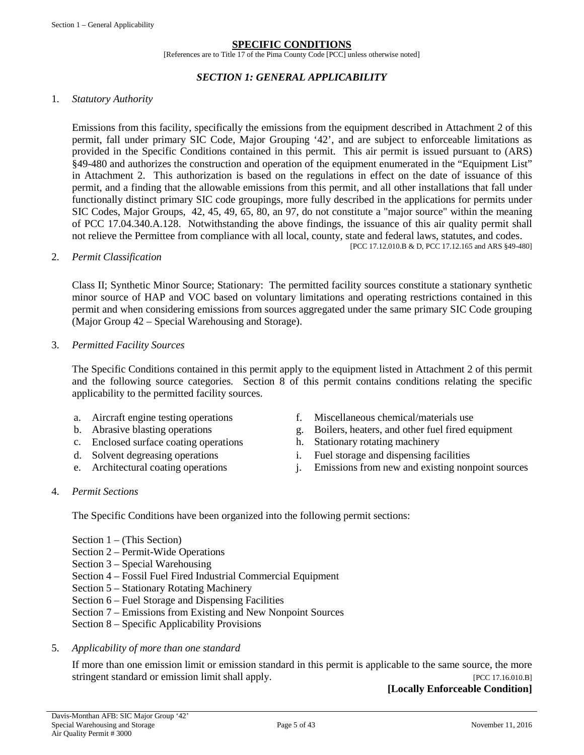#### **SPECIFIC CONDITIONS**

[References are to Title 17 of the Pima County Code [PCC] unless otherwise noted]

#### *SECTION 1: GENERAL APPLICABILITY*

#### <span id="page-4-0"></span>1. *Statutory Authority*

Emissions from this facility, specifically the emissions from the equipment described in Attachment 2 of this permit, fall under primary SIC Code, Major Grouping '42', and are subject to enforceable limitations as provided in the Specific Conditions contained in this permit. This air permit is issued pursuant to (ARS) §49-480 and authorizes the construction and operation of the equipment enumerated in the "Equipment List" in Attachment 2. This authorization is based on the regulations in effect on the date of issuance of this permit, and a finding that the allowable emissions from this permit, and all other installations that fall under functionally distinct primary SIC code groupings, more fully described in the applications for permits under SIC Codes, Major Groups, 42, 45, 49, 65, 80, an 97, do not constitute a "major source" within the meaning of PCC 17.04.340.A.128. Notwithstanding the above findings, the issuance of this air quality permit shall not relieve the Permittee from compliance with all local, county, state and federal laws, statutes, and codes. [PCC 17.12.010.B & D, PCC 17.12.165 and ARS §49-480]

#### 2. *Permit Classification*

Class II; Synthetic Minor Source; Stationary: The permitted facility sources constitute a stationary synthetic minor source of HAP and VOC based on voluntary limitations and operating restrictions contained in this permit and when considering emissions from sources aggregated under the same primary SIC Code grouping (Major Group 42 – Special Warehousing and Storage).

#### 3. *Permitted Facility Sources*

The Specific Conditions contained in this permit apply to the equipment listed in Attachment 2 of this permit and the following source categories. Section 8 of this permit contains conditions relating the specific applicability to the permitted facility sources.

- 
- 
- c. Enclosed surface coating operations h. Stationary rotating machinery
- 
- 
- a. Aircraft engine testing operations f. Miscellaneous chemical/materials use
- b. Abrasive blasting operations g. Boilers, heaters, and other fuel fired equipment
	-
- d. Solvent degreasing operations i. Fuel storage and dispensing facilities
- e. Architectural coating operations i. Emissions from new and existing nonpoint sources

#### 4. *Permit Sections*

The Specific Conditions have been organized into the following permit sections:

- Section 1 (This Section)
- Section 2 Permit-Wide Operations
- Section 3 Special Warehousing
- Section 4 Fossil Fuel Fired Industrial Commercial Equipment
- Section 5 Stationary Rotating Machinery
- Section 6 Fuel Storage and Dispensing Facilities
- Section 7 Emissions from Existing and New Nonpoint Sources
- Section 8 Specific Applicability Provisions

#### 5. *Applicability of more than one standard*

If more than one emission limit or emission standard in this permit is applicable to the same source, the more stringent standard or emission limit shall apply. [PCC 17.16.010.B]

**[Locally Enforceable Condition]**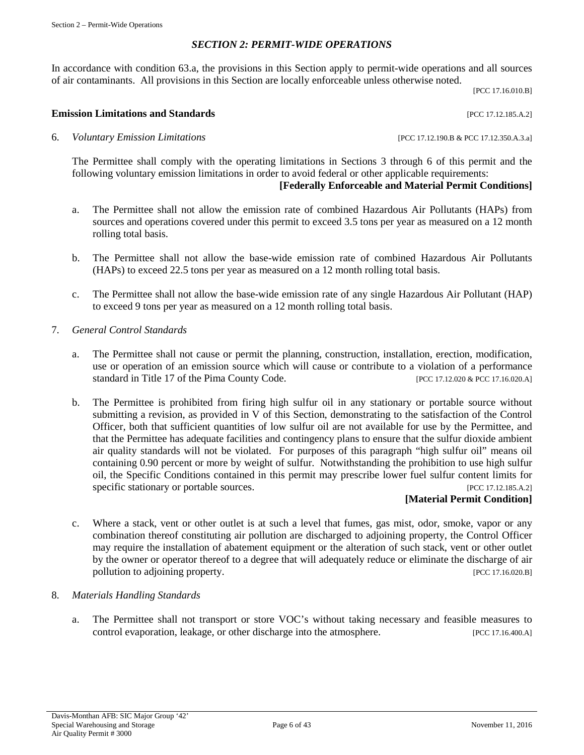# *SECTION 2: PERMIT-WIDE OPERATIONS*

<span id="page-5-0"></span>In accordance with condition 63.a, the provisions in this Section apply to permit-wide operations and all sources of air contaminants. All provisions in this Section are locally enforceable unless otherwise noted.

[PCC 17.16.010.B]

#### **Emission Limitations and Standards Emission Limitations and Standards Executive Limitations and Standards**

6. *Voluntary Emission Limitations* [PCC 17.12.190.B & PCC 17.12.350.A.3.a]

The Permittee shall comply with the operating limitations in Sections 3 through 6 of this permit and the following voluntary emission limitations in order to avoid federal or other applicable requirements:

# **[Federally Enforceable and Material Permit Conditions]**

- a. The Permittee shall not allow the emission rate of combined Hazardous Air Pollutants (HAPs) from sources and operations covered under this permit to exceed 3.5 tons per year as measured on a 12 month rolling total basis.
- b. The Permittee shall not allow the base-wide emission rate of combined Hazardous Air Pollutants (HAPs) to exceed 22.5 tons per year as measured on a 12 month rolling total basis.
- c. The Permittee shall not allow the base-wide emission rate of any single Hazardous Air Pollutant (HAP) to exceed 9 tons per year as measured on a 12 month rolling total basis.
- 7. *General Control Standards*
	- a. The Permittee shall not cause or permit the planning, construction, installation, erection, modification, use or operation of an emission source which will cause or contribute to a violation of a performance standard in Title 17 of the Pima County Code. [PCC 17.12.020 & PCC 17.16.020.A]
	- b. The Permittee is prohibited from firing high sulfur oil in any stationary or portable source without submitting a revision, as provided in V of this Section, demonstrating to the satisfaction of the Control Officer, both that sufficient quantities of low sulfur oil are not available for use by the Permittee, and that the Permittee has adequate facilities and contingency plans to ensure that the sulfur dioxide ambient air quality standards will not be violated. For purposes of this paragraph "high sulfur oil" means oil containing 0.90 percent or more by weight of sulfur. Notwithstanding the prohibition to use high sulfur oil, the Specific Conditions contained in this permit may prescribe lower fuel sulfur content limits for specific stationary or portable sources. [PCC 17.12.185.A.2]

#### **[Material Permit Condition]**

c. Where a stack, vent or other outlet is at such a level that fumes, gas mist, odor, smoke, vapor or any combination thereof constituting air pollution are discharged to adjoining property, the Control Officer may require the installation of abatement equipment or the alteration of such stack, vent or other outlet by the owner or operator thereof to a degree that will adequately reduce or eliminate the discharge of air pollution to adjoining property. [PCC 17.16.020.B]

#### 8. *Materials Handling Standards*

a. The Permittee shall not transport or store VOC's without taking necessary and feasible measures to control evaporation, leakage, or other discharge into the atmosphere. [PCC 17.16.400.A]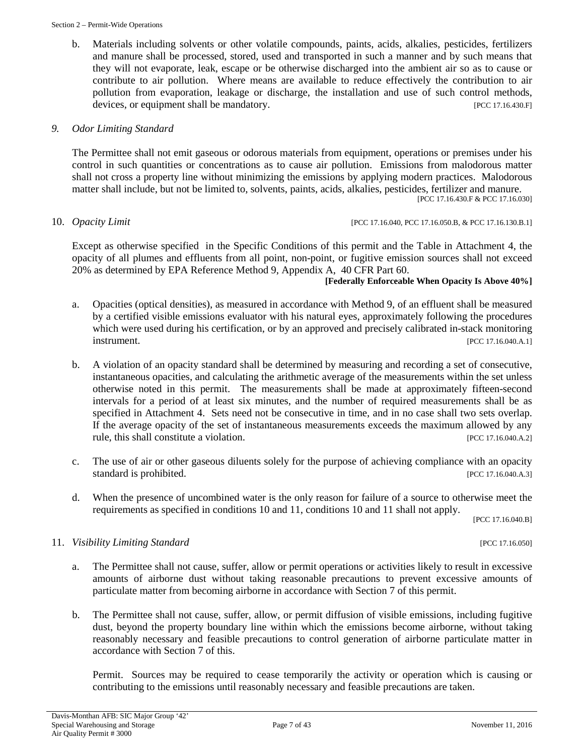b. Materials including solvents or other volatile compounds, paints, acids, alkalies, pesticides, fertilizers and manure shall be processed, stored, used and transported in such a manner and by such means that they will not evaporate, leak, escape or be otherwise discharged into the ambient air so as to cause or contribute to air pollution. Where means are available to reduce effectively the contribution to air pollution from evaporation, leakage or discharge, the installation and use of such control methods, devices, or equipment shall be mandatory. [PCC 17.16.430.F]

# *9. Odor Limiting Standard*

The Permittee shall not emit gaseous or odorous materials from equipment, operations or premises under his control in such quantities or concentrations as to cause air pollution. Emissions from malodorous matter shall not cross a property line without minimizing the emissions by applying modern practices. Malodorous matter shall include, but not be limited to, solvents, paints, acids, alkalies, pesticides, fertilizer and manure. [PCC 17.16.430.F & PCC 17.16.030]

10. *Opacity Limit* [PCC 17.16.040, PCC 17.16.050.B, & PCC 17.16.130.B.1]

Except as otherwise specified in the Specific Conditions of this permit and the Table in Attachment 4, the opacity of all plumes and effluents from all point, non-point, or fugitive emission sources shall not exceed 20% as determined by EPA Reference Method 9, Appendix A, 40 CFR Part 60.

#### **[Federally Enforceable When Opacity Is Above 40%]**

- a. Opacities (optical densities), as measured in accordance with Method 9, of an effluent shall be measured by a certified visible emissions evaluator with his natural eyes, approximately following the procedures which were used during his certification, or by an approved and precisely calibrated in-stack monitoring **instrument.** [PCC 17.16.040.A.1]
- b. A violation of an opacity standard shall be determined by measuring and recording a set of consecutive, instantaneous opacities, and calculating the arithmetic average of the measurements within the set unless otherwise noted in this permit. The measurements shall be made at approximately fifteen-second intervals for a period of at least six minutes, and the number of required measurements shall be as specified in Attachment 4. Sets need not be consecutive in time, and in no case shall two sets overlap. If the average opacity of the set of instantaneous measurements exceeds the maximum allowed by any rule, this shall constitute a violation. **Example 2018** [PCC 17.16.040.A.2]
- c. The use of air or other gaseous diluents solely for the purpose of achieving compliance with an opacity standard is prohibited. [PCC 17.16.040.A.3]
- d. When the presence of uncombined water is the only reason for failure of a source to otherwise meet the requirements as specified in conditions 10 and 11, conditions 10 and 11 shall not apply.

[PCC 17.16.040.B]

# 11. *Visibility Limiting Standard* [PCC 17.16.050]

- a. The Permittee shall not cause, suffer, allow or permit operations or activities likely to result in excessive amounts of airborne dust without taking reasonable precautions to prevent excessive amounts of particulate matter from becoming airborne in accordance with Section 7 of this permit.
- b. The Permittee shall not cause, suffer, allow, or permit diffusion of visible emissions, including fugitive dust, beyond the property boundary line within which the emissions become airborne, without taking reasonably necessary and feasible precautions to control generation of airborne particulate matter in accordance with Section 7 of this.

Permit. Sources may be required to cease temporarily the activity or operation which is causing or contributing to the emissions until reasonably necessary and feasible precautions are taken.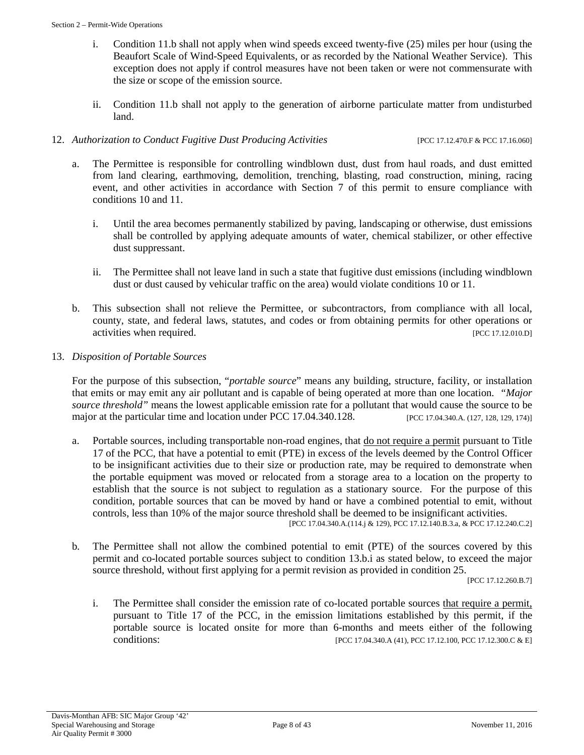- i. Condition 11.b shall not apply when wind speeds exceed twenty-five (25) miles per hour (using the Beaufort Scale of Wind-Speed Equivalents, or as recorded by the National Weather Service). This exception does not apply if control measures have not been taken or were not commensurate with the size or scope of the emission source.
- ii. Condition 11.b shall not apply to the generation of airborne particulate matter from undisturbed land.

#### 12. *Authorization to Conduct Fugitive Dust Producing Activities* [PCC 17.12.470.F & PCC 17.16.060]

- a. The Permittee is responsible for controlling windblown dust, dust from haul roads, and dust emitted from land clearing, earthmoving, demolition, trenching, blasting, road construction, mining, racing event, and other activities in accordance with Section 7 of this permit to ensure compliance with conditions 10 and 11.
	- i. Until the area becomes permanently stabilized by paving, landscaping or otherwise, dust emissions shall be controlled by applying adequate amounts of water, chemical stabilizer, or other effective dust suppressant.
	- ii. The Permittee shall not leave land in such a state that fugitive dust emissions (including windblown dust or dust caused by vehicular traffic on the area) would violate conditions 10 or 11.
- b. This subsection shall not relieve the Permittee, or subcontractors, from compliance with all local, county, state, and federal laws, statutes, and codes or from obtaining permits for other operations or activities when required. [PCC 17.12.010.D]
- 13. *Disposition of Portable Sources*

For the purpose of this subsection, "*portable source*" means any building, structure, facility, or installation that emits or may emit any air pollutant and is capable of being operated at more than one location. *"Major source threshold"* means the lowest applicable emission rate for a pollutant that would cause the source to be major at the particular time and location under PCC 17.04.340.128. [PCC 17.04.340.A. (127, 128, 129, 174)]

a. Portable sources, including transportable non-road engines, that do not require a permit pursuant to Title 17 of the PCC, that have a potential to emit (PTE) in excess of the levels deemed by the Control Officer to be insignificant activities due to their size or production rate, may be required to demonstrate when the portable equipment was moved or relocated from a storage area to a location on the property to establish that the source is not subject to regulation as a stationary source. For the purpose of this condition, portable sources that can be moved by hand or have a combined potential to emit, without controls, less than 10% of the major source threshold shall be deemed to be insignificant activities.

[PCC 17.04.340.A.(114.j & 129), PCC 17.12.140.B.3.a, & PCC 17.12.240.C.2]

b*.* The Permittee shall not allow the combined potential to emit (PTE) of the sources covered by this permit and co-located portable sources subject to condition 13.b.i as stated below, to exceed the major source threshold, without first applying for a permit revision as provided in condition 25.

[PCC 17.12.260.B.7]

i. The Permittee shall consider the emission rate of co-located portable sources that require a permit, pursuant to Title 17 of the PCC, in the emission limitations established by this permit, if the portable source is located onsite for more than 6-months and meets either of the following conditions: [PCC 17.04.340.A (41), PCC 17.12.100, PCC 17.12.300.C & E]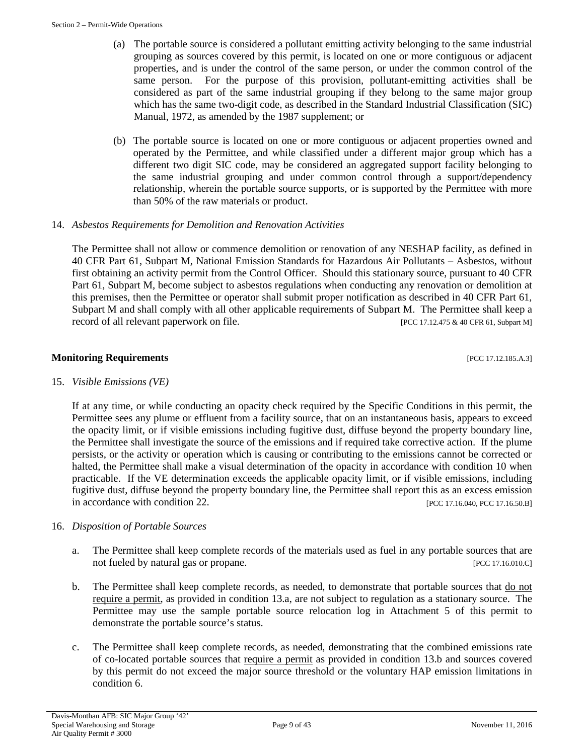- (a) The portable source is considered a pollutant emitting activity belonging to the same industrial grouping as sources covered by this permit, is located on one or more contiguous or adjacent properties, and is under the control of the same person, or under the common control of the same person. For the purpose of this provision, pollutant-emitting activities shall be considered as part of the same industrial grouping if they belong to the same major group which has the same two-digit code, as described in the Standard Industrial Classification (SIC) Manual, 1972, as amended by the 1987 supplement; or
- (b) The portable source is located on one or more contiguous or adjacent properties owned and operated by the Permittee, and while classified under a different major group which has a different two digit SIC code, may be considered an aggregated support facility belonging to the same industrial grouping and under common control through a support/dependency relationship, wherein the portable source supports, or is supported by the Permittee with more than 50% of the raw materials or product.

# 14. *Asbestos Requirements for Demolition and Renovation Activities*

The Permittee shall not allow or commence demolition or renovation of any NESHAP facility, as defined in 40 CFR Part 61, Subpart M, National Emission Standards for Hazardous Air Pollutants – Asbestos, without first obtaining an activity permit from the Control Officer. Should this stationary source, pursuant to 40 CFR Part 61, Subpart M, become subject to asbestos regulations when conducting any renovation or demolition at this premises, then the Permittee or operator shall submit proper notification as described in 40 CFR Part 61, Subpart M and shall comply with all other applicable requirements of Subpart M. The Permittee shall keep a record of all relevant paperwork on file. [PCC 17.12.475 & 40 CFR 61, Subpart M]

# **Monitoring Requirements and the sequence of the contract of the contract of the contract of the contract of the contract of the contract of the contract of the contract of the contract of the contract of the contract of**

15. *Visible Emissions (VE)*

If at any time, or while conducting an opacity check required by the Specific Conditions in this permit, the Permittee sees any plume or effluent from a facility source, that on an instantaneous basis, appears to exceed the opacity limit, or if visible emissions including fugitive dust, diffuse beyond the property boundary line, the Permittee shall investigate the source of the emissions and if required take corrective action. If the plume persists, or the activity or operation which is causing or contributing to the emissions cannot be corrected or halted, the Permittee shall make a visual determination of the opacity in accordance with condition 10 when practicable. If the VE determination exceeds the applicable opacity limit, or if visible emissions, including fugitive dust, diffuse beyond the property boundary line, the Permittee shall report this as an excess emission in accordance with condition 22. [PCC 17.16.040, PCC 17.16.50.B]

# 16. *Disposition of Portable Sources*

- a. The Permittee shall keep complete records of the materials used as fuel in any portable sources that are not fueled by natural gas or propane. [PCC 17.16.010.C]
- b. The Permittee shall keep complete records, as needed, to demonstrate that portable sources that do not require a permit, as provided in condition 13.a, are not subject to regulation as a stationary source. The Permittee may use the sample portable source relocation log in Attachment 5 of this permit to demonstrate the portable source's status.
- c. The Permittee shall keep complete records, as needed, demonstrating that the combined emissions rate of co-located portable sources that require a permit as provided in condition 13.b and sources covered by this permit do not exceed the major source threshold or the voluntary HAP emission limitations in condition 6.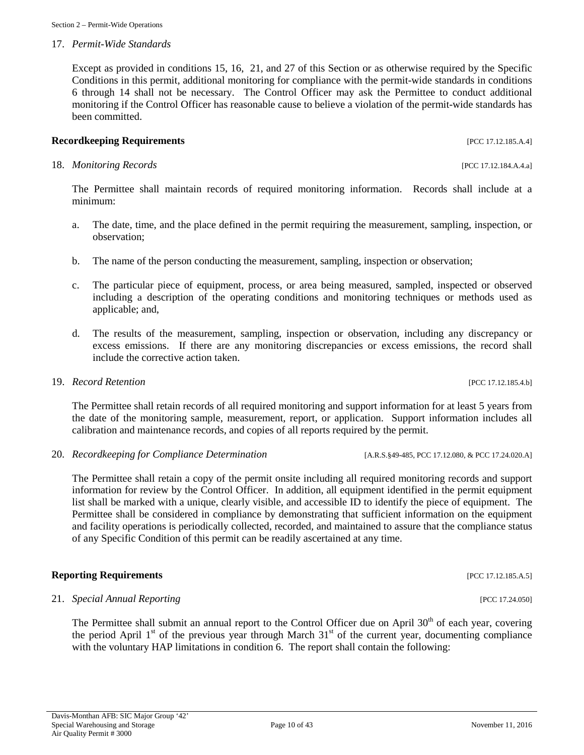#### 17. *Permit-Wide Standards*

Except as provided in conditions 15, 16, 21, and 27 of this Section or as otherwise required by the Specific Conditions in this permit, additional monitoring for compliance with the permit-wide standards in conditions 6 through 14 shall not be necessary. The Control Officer may ask the Permittee to conduct additional monitoring if the Control Officer has reasonable cause to believe a violation of the permit-wide standards has been committed.

# **Recordkeeping Requirements** [PCC 17.12.185.A.4]

#### 18. *Monitoring Records* [PCC 17.12.184.A.4.a]

The Permittee shall maintain records of required monitoring information. Records shall include at a minimum:

- a. The date, time, and the place defined in the permit requiring the measurement, sampling, inspection, or observation;
- b. The name of the person conducting the measurement, sampling, inspection or observation;
- c. The particular piece of equipment, process, or area being measured, sampled, inspected or observed including a description of the operating conditions and monitoring techniques or methods used as applicable; and,
- d. The results of the measurement, sampling, inspection or observation, including any discrepancy or excess emissions. If there are any monitoring discrepancies or excess emissions, the record shall include the corrective action taken.

#### 19. *Record Retention* [PCC 17.12.185.4.b]

The Permittee shall retain records of all required monitoring and support information for at least 5 years from the date of the monitoring sample, measurement, report, or application. Support information includes all calibration and maintenance records, and copies of all reports required by the permit.

20. *Recordkeeping for Compliance Determination* [A.R.S.§49-485, PCC 17.12.080, & PCC 17.24.020.A]

The Permittee shall retain a copy of the permit onsite including all required monitoring records and support information for review by the Control Officer. In addition, all equipment identified in the permit equipment list shall be marked with a unique, clearly visible, and accessible ID to identify the piece of equipment. The Permittee shall be considered in compliance by demonstrating that sufficient information on the equipment and facility operations is periodically collected, recorded, and maintained to assure that the compliance status of any Specific Condition of this permit can be readily ascertained at any time.

# **Reporting Requirements** [PCC 17.12.185.A.5]

# 21. *Special Annual Reporting* [PCC 17.24.050]

The Permittee shall submit an annual report to the Control Officer due on April  $30<sup>th</sup>$  of each year, covering the period April  $1<sup>st</sup>$  of the previous year through March  $31<sup>st</sup>$  of the current year, documenting compliance with the voluntary HAP limitations in condition 6. The report shall contain the following: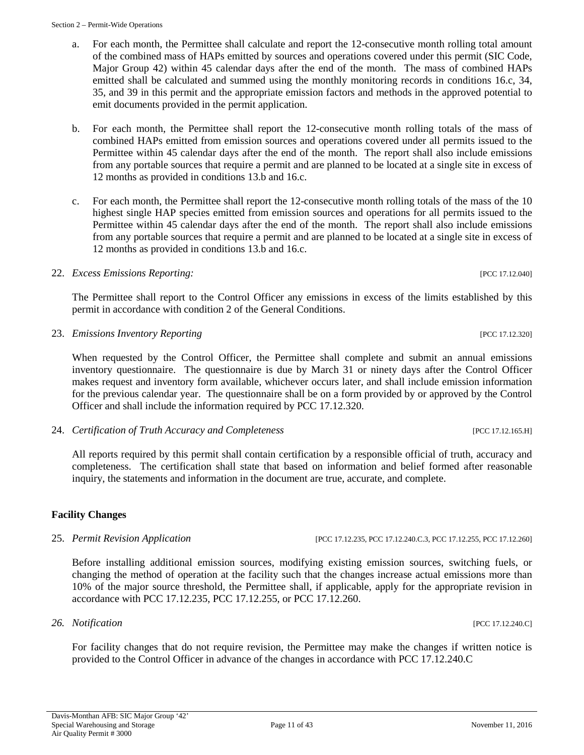Section 2 – Permit-Wide Operations

- a. For each month, the Permittee shall calculate and report the 12-consecutive month rolling total amount of the combined mass of HAPs emitted by sources and operations covered under this permit (SIC Code, Major Group 42) within 45 calendar days after the end of the month. The mass of combined HAPs emitted shall be calculated and summed using the monthly monitoring records in conditions 16.c, 34, 35, and 39 in this permit and the appropriate emission factors and methods in the approved potential to emit documents provided in the permit application.
- b. For each month, the Permittee shall report the 12-consecutive month rolling totals of the mass of combined HAPs emitted from emission sources and operations covered under all permits issued to the Permittee within 45 calendar days after the end of the month. The report shall also include emissions from any portable sources that require a permit and are planned to be located at a single site in excess of 12 months as provided in conditions 13.b and 16.c.
- c. For each month, the Permittee shall report the 12-consecutive month rolling totals of the mass of the 10 highest single HAP species emitted from emission sources and operations for all permits issued to the Permittee within 45 calendar days after the end of the month. The report shall also include emissions from any portable sources that require a permit and are planned to be located at a single site in excess of 12 months as provided in conditions 13.b and 16.c.

# 22. *Excess Emissions Reporting:* [PCC 17.12.040]

The Permittee shall report to the Control Officer any emissions in excess of the limits established by this permit in accordance with condition 2 of the General Conditions.

23. *Emissions Inventory Reporting* [PCC 17.12.320]

When requested by the Control Officer, the Permittee shall complete and submit an annual emissions inventory questionnaire. The questionnaire is due by March 31 or ninety days after the Control Officer makes request and inventory form available, whichever occurs later, and shall include emission information for the previous calendar year. The questionnaire shall be on a form provided by or approved by the Control Officer and shall include the information required by PCC 17.12.320.

24. *Certification of Truth Accuracy and Completeness* [PCC 17.12.165.H]

All reports required by this permit shall contain certification by a responsible official of truth, accuracy and completeness. The certification shall state that based on information and belief formed after reasonable inquiry, the statements and information in the document are true, accurate, and complete.

# **Facility Changes**

25. *Permit Revision Application* [PCC 17.12.235, PCC 17.12.240.C.3, PCC 17.12.255, PCC 17.12.260]

Before installing additional emission sources, modifying existing emission sources, switching fuels, or changing the method of operation at the facility such that the changes increase actual emissions more than 10% of the major source threshold, the Permittee shall, if applicable, apply for the appropriate revision in accordance with PCC 17.12.235, PCC 17.12.255, or PCC 17.12.260.

# *26. Notification* [PCC 17.12.240.C]

For facility changes that do not require revision, the Permittee may make the changes if written notice is provided to the Control Officer in advance of the changes in accordance with PCC 17.12.240.C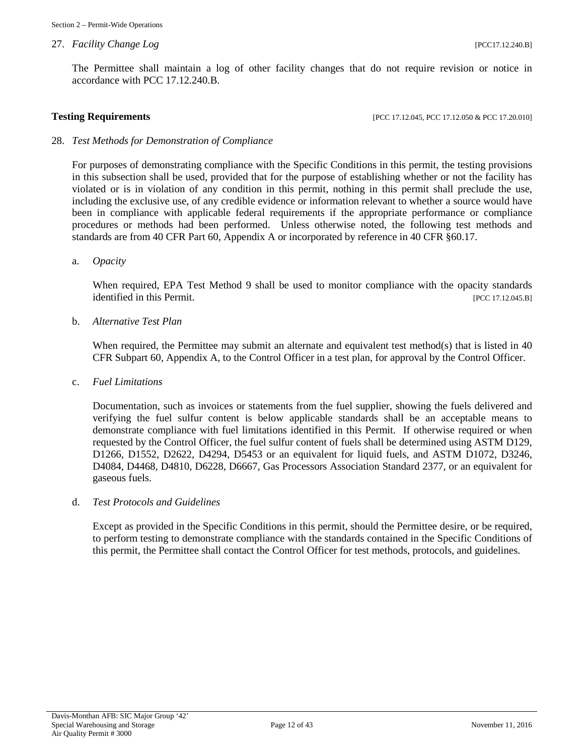#### 27. *Facility Change Log COMPONER (PCCITILE 240.B)* [PCCITILE 240.B]

**Testing Requirements [PCC 17.12.045, PCC 17.12.050 & PCC 17.20.010]** 

#### 28. *Test Methods for Demonstration of Compliance*

For purposes of demonstrating compliance with the Specific Conditions in this permit, the testing provisions in this subsection shall be used, provided that for the purpose of establishing whether or not the facility has violated or is in violation of any condition in this permit, nothing in this permit shall preclude the use, including the exclusive use, of any credible evidence or information relevant to whether a source would have been in compliance with applicable federal requirements if the appropriate performance or compliance procedures or methods had been performed. Unless otherwise noted, the following test methods and standards are from 40 CFR Part 60, Appendix A or incorporated by reference in 40 CFR §60.17.

a. *Opacity*

When required, EPA Test Method 9 shall be used to monitor compliance with the opacity standards identified in this Permit. [PCC 17.12.045.B]

b. *Alternative Test Plan*

When required, the Permittee may submit an alternate and equivalent test method(s) that is listed in 40 CFR Subpart 60, Appendix A, to the Control Officer in a test plan, for approval by the Control Officer.

c. *Fuel Limitations*

Documentation, such as invoices or statements from the fuel supplier, showing the fuels delivered and verifying the fuel sulfur content is below applicable standards shall be an acceptable means to demonstrate compliance with fuel limitations identified in this Permit. If otherwise required or when requested by the Control Officer, the fuel sulfur content of fuels shall be determined using ASTM D129, D1266, D1552, D2622, D4294, D5453 or an equivalent for liquid fuels, and ASTM D1072, D3246, D4084, D4468, D4810, D6228, D6667, Gas Processors Association Standard 2377, or an equivalent for gaseous fuels.

#### d. *Test Protocols and Guidelines*

Except as provided in the Specific Conditions in this permit, should the Permittee desire, or be required, to perform testing to demonstrate compliance with the standards contained in the Specific Conditions of this permit, the Permittee shall contact the Control Officer for test methods, protocols, and guidelines.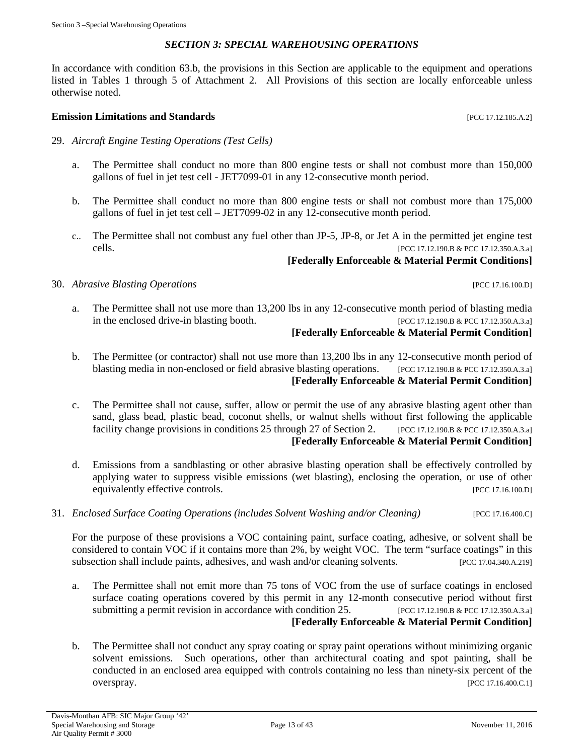# *SECTION 3: SPECIAL WAREHOUSING OPERATIONS*

<span id="page-12-0"></span>In accordance with condition 63.b, the provisions in this Section are applicable to the equipment and operations listed in Tables 1 through 5 of Attachment 2. All Provisions of this section are locally enforceable unless otherwise noted.

#### **Emission Limitations and Standards Emission Limitations and Standards Exercíal Exercíal Exercíal Exercíal Exercíal Exercíal Exercíal Exercíal Exercíal Exercíal Exercíal Exercíal Exercíal Exercíal Exercíal Exercíal Exe**

- 29. *Aircraft Engine Testing Operations (Test Cells)*
	- a. The Permittee shall conduct no more than 800 engine tests or shall not combust more than 150,000 gallons of fuel in jet test cell - JET7099-01 in any 12-consecutive month period.
	- b. The Permittee shall conduct no more than 800 engine tests or shall not combust more than 175,000 gallons of fuel in jet test cell – JET7099-02 in any 12-consecutive month period.
	- c.. The Permittee shall not combust any fuel other than JP-5, JP-8, or Jet A in the permitted jet engine test cells. [PCC 17.12.190.B & PCC 17.12.350.A.3.a]

# **[Federally Enforceable & Material Permit Conditions]**

30. *Abrasive Blasting Operations* [PCC 17.16.100.D]

a. The Permittee shall not use more than 13,200 lbs in any 12-consecutive month period of blasting media in the enclosed drive-in blasting booth. [PCC 17.12.190.B & PCC 17.12.350.A.3.a]

# **[Federally Enforceable & Material Permit Condition]**

- b. The Permittee (or contractor) shall not use more than 13,200 lbs in any 12-consecutive month period of blasting media in non-enclosed or field abrasive blasting operations. [PCC 17.12.190.B & PCC 17.12.350.A.3.a] **[Federally Enforceable & Material Permit Condition]**
- c. The Permittee shall not cause, suffer, allow or permit the use of any abrasive blasting agent other than sand, glass bead, plastic bead, coconut shells, or walnut shells without first following the applicable facility change provisions in conditions 25 through 27 of Section 2. [PCC 17.12.190.B & PCC 17.12.350.A.3.a] **[Federally Enforceable & Material Permit Condition]**
- d. Emissions from a sandblasting or other abrasive blasting operation shall be effectively controlled by applying water to suppress visible emissions (wet blasting), enclosing the operation, or use of other equivalently effective controls. [PCC 17.16.100.D]
- 31. *Enclosed Surface Coating Operations (includes Solvent Washing and/or Cleaning)* [PCC 17.16.400.C]

For the purpose of these provisions a VOC containing paint, surface coating, adhesive, or solvent shall be considered to contain VOC if it contains more than 2%, by weight VOC. The term "surface coatings" in this subsection shall include paints, adhesives, and wash and/or cleaning solvents. [PCC 17.04.340.A.219]

- a. The Permittee shall not emit more than 75 tons of VOC from the use of surface coatings in enclosed surface coating operations covered by this permit in any 12-month consecutive period without first submitting a permit revision in accordance with condition 25. [PCC 17.12.190.B & PCC 17.12.350.A.3.a] **[Federally Enforceable & Material Permit Condition]**
- b. The Permittee shall not conduct any spray coating or spray paint operations without minimizing organic solvent emissions. Such operations, other than architectural coating and spot painting, shall be conducted in an enclosed area equipped with controls containing no less than ninety-six percent of the overspray. [PCC 17.16.400.C.1]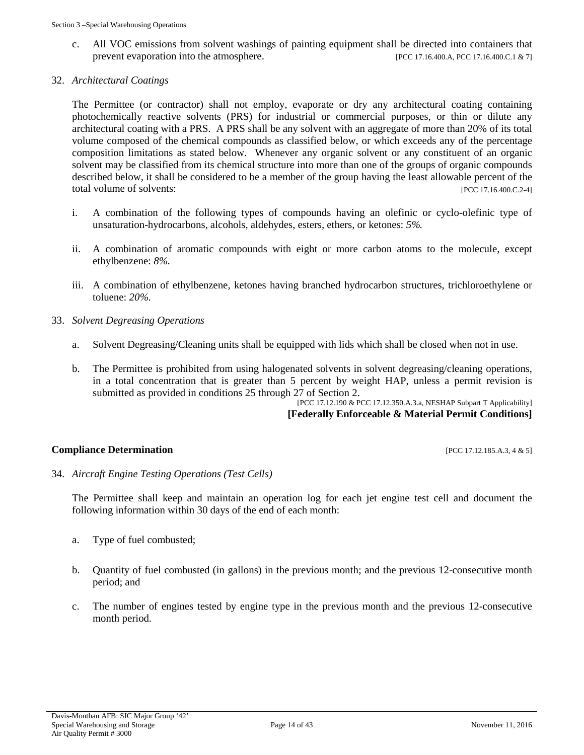- c. All VOC emissions from solvent washings of painting equipment shall be directed into containers that prevent evaporation into the atmosphere. [PCC 17.16.400.A, PCC 17.16.400.C.1 & 7]
- 32. *Architectural Coatings*

The Permittee (or contractor) shall not employ, evaporate or dry any architectural coating containing photochemically reactive solvents (PRS) for industrial or commercial purposes, or thin or dilute any architectural coating with a PRS. A PRS shall be any solvent with an aggregate of more than 20% of its total volume composed of the chemical compounds as classified below, or which exceeds any of the percentage composition limitations as stated below. Whenever any organic solvent or any constituent of an organic solvent may be classified from its chemical structure into more than one of the groups of organic compounds described below, it shall be considered to be a member of the group having the least allowable percent of the total volume of solvents: [PCC 17.16.400.C.2-4]

- i. A combination of the following types of compounds having an olefinic or cyclo-olefinic type of unsaturation-hydrocarbons, alcohols, aldehydes, esters, ethers, or ketones: *5%.*
- ii. A combination of aromatic compounds with eight or more carbon atoms to the molecule, except ethylbenzene: *8%*.
- iii. A combination of ethylbenzene, ketones having branched hydrocarbon structures, trichloroethylene or toluene: *20%*.
- 33. *Solvent Degreasing Operations*
	- a. Solvent Degreasing/Cleaning units shall be equipped with lids which shall be closed when not in use.
	- b. The Permittee is prohibited from using halogenated solvents in solvent degreasing/cleaning operations, in a total concentration that is greater than 5 percent by weight HAP, unless a permit revision is submitted as provided in conditions 25 through 27 of Section 2.

[PCC 17.12.190 & PCC 17.12.350.A.3.a, NESHAP Subpart T Applicability] **[Federally Enforceable & Material Permit Conditions]**

# **Compliance Determination** [PCC 17.12.185.A.3, 4 & 5]

34. *Aircraft Engine Testing Operations (Test Cells)*

The Permittee shall keep and maintain an operation log for each jet engine test cell and document the following information within 30 days of the end of each month:

- a. Type of fuel combusted;
- b. Quantity of fuel combusted (in gallons) in the previous month; and the previous 12-consecutive month period; and
- c. The number of engines tested by engine type in the previous month and the previous 12-consecutive month period.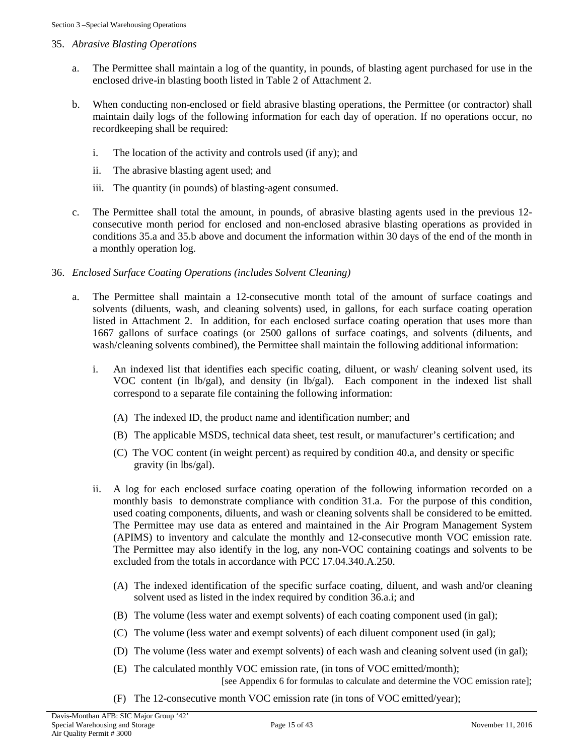# 35. *Abrasive Blasting Operations*

- a. The Permittee shall maintain a log of the quantity, in pounds, of blasting agent purchased for use in the enclosed drive-in blasting booth listed in Table 2 of Attachment 2.
- b. When conducting non-enclosed or field abrasive blasting operations, the Permittee (or contractor) shall maintain daily logs of the following information for each day of operation. If no operations occur, no recordkeeping shall be required:
	- i. The location of the activity and controls used (if any); and
	- ii. The abrasive blasting agent used; and
	- iii. The quantity (in pounds) of blasting-agent consumed.
- c. The Permittee shall total the amount, in pounds, of abrasive blasting agents used in the previous 12 consecutive month period for enclosed and non-enclosed abrasive blasting operations as provided in conditions 35.a and 35.b above and document the information within 30 days of the end of the month in a monthly operation log.

# 36. *Enclosed Surface Coating Operations (includes Solvent Cleaning)*

- a. The Permittee shall maintain a 12-consecutive month total of the amount of surface coatings and solvents (diluents, wash, and cleaning solvents) used, in gallons, for each surface coating operation listed in Attachment 2. In addition, for each enclosed surface coating operation that uses more than 1667 gallons of surface coatings (or 2500 gallons of surface coatings, and solvents (diluents, and wash/cleaning solvents combined), the Permittee shall maintain the following additional information:
	- i. An indexed list that identifies each specific coating, diluent, or wash/ cleaning solvent used, its VOC content (in lb/gal), and density (in lb/gal). Each component in the indexed list shall correspond to a separate file containing the following information:
		- (A) The indexed ID, the product name and identification number; and
		- (B) The applicable MSDS, technical data sheet, test result, or manufacturer's certification; and
		- (C) The VOC content (in weight percent) as required by condition 40.a, and density or specific gravity (in lbs/gal).
	- ii. A log for each enclosed surface coating operation of the following information recorded on a monthly basis to demonstrate compliance with condition 31.a. For the purpose of this condition, used coating components, diluents, and wash or cleaning solvents shall be considered to be emitted. The Permittee may use data as entered and maintained in the Air Program Management System (APIMS) to inventory and calculate the monthly and 12-consecutive month VOC emission rate. The Permittee may also identify in the log, any non-VOC containing coatings and solvents to be excluded from the totals in accordance with PCC 17.04.340.A.250.
		- (A) The indexed identification of the specific surface coating, diluent, and wash and/or cleaning solvent used as listed in the index required by condition 36.a.i; and
		- (B) The volume (less water and exempt solvents) of each coating component used (in gal);
		- (C) The volume (less water and exempt solvents) of each diluent component used (in gal);
		- (D) The volume (less water and exempt solvents) of each wash and cleaning solvent used (in gal);
		- (E) The calculated monthly VOC emission rate, (in tons of VOC emitted/month); [see Appendix 6 for formulas to calculate and determine the VOC emission rate];
		- (F) The 12-consecutive month VOC emission rate (in tons of VOC emitted/year);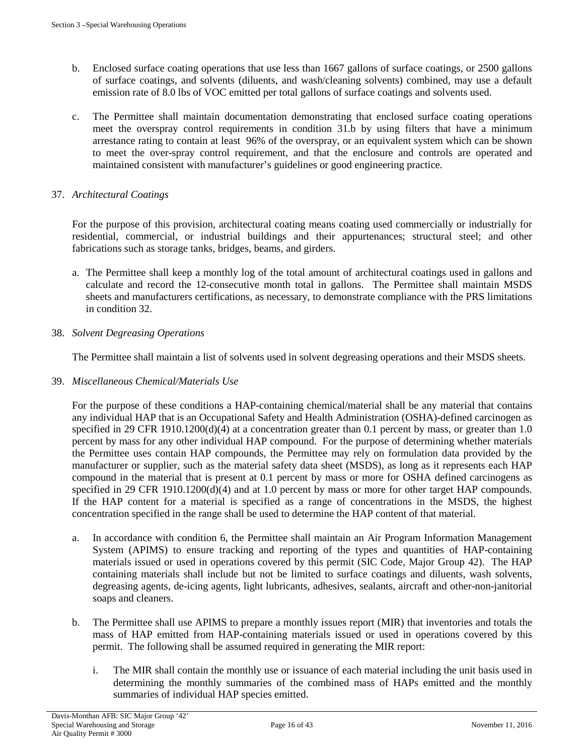- b. Enclosed surface coating operations that use less than 1667 gallons of surface coatings, or 2500 gallons of surface coatings, and solvents (diluents, and wash/cleaning solvents) combined, may use a default emission rate of 8.0 lbs of VOC emitted per total gallons of surface coatings and solvents used.
- c. The Permittee shall maintain documentation demonstrating that enclosed surface coating operations meet the overspray control requirements in condition 31.b by using filters that have a minimum arrestance rating to contain at least 96% of the overspray, or an equivalent system which can be shown to meet the over-spray control requirement, and that the enclosure and controls are operated and maintained consistent with manufacturer's guidelines or good engineering practice.

# 37. *Architectural Coatings*

For the purpose of this provision, architectural coating means coating used commercially or industrially for residential, commercial, or industrial buildings and their appurtenances; structural steel; and other fabrications such as storage tanks, bridges, beams, and girders.

a. The Permittee shall keep a monthly log of the total amount of architectural coatings used in gallons and calculate and record the 12-consecutive month total in gallons. The Permittee shall maintain MSDS sheets and manufacturers certifications, as necessary, to demonstrate compliance with the PRS limitations in condition 32.

# 38. *Solvent Degreasing Operations*

The Permittee shall maintain a list of solvents used in solvent degreasing operations and their MSDS sheets.

# 39. *Miscellaneous Chemical/Materials Use*

For the purpose of these conditions a HAP-containing chemical/material shall be any material that contains any individual HAP that is an Occupational Safety and Health Administration (OSHA)-defined carcinogen as specified in 29 CFR 1910.1200(d)(4) at a concentration greater than 0.1 percent by mass, or greater than 1.0 percent by mass for any other individual HAP compound. For the purpose of determining whether materials the Permittee uses contain HAP compounds, the Permittee may rely on formulation data provided by the manufacturer or supplier, such as the material safety data sheet (MSDS), as long as it represents each HAP compound in the material that is present at 0.1 percent by mass or more for OSHA defined carcinogens as specified in 29 CFR 1910.1200(d)(4) and at 1.0 percent by mass or more for other target HAP compounds. If the HAP content for a material is specified as a range of concentrations in the MSDS, the highest concentration specified in the range shall be used to determine the HAP content of that material.

- a. In accordance with condition 6, the Permittee shall maintain an Air Program Information Management System (APIMS) to ensure tracking and reporting of the types and quantities of HAP-containing materials issued or used in operations covered by this permit (SIC Code, Major Group 42). The HAP containing materials shall include but not be limited to surface coatings and diluents, wash solvents, degreasing agents, de-icing agents, light lubricants, adhesives, sealants, aircraft and other-non-janitorial soaps and cleaners.
- b. The Permittee shall use APIMS to prepare a monthly issues report (MIR) that inventories and totals the mass of HAP emitted from HAP-containing materials issued or used in operations covered by this permit. The following shall be assumed required in generating the MIR report:
	- i. The MIR shall contain the monthly use or issuance of each material including the unit basis used in determining the monthly summaries of the combined mass of HAPs emitted and the monthly summaries of individual HAP species emitted.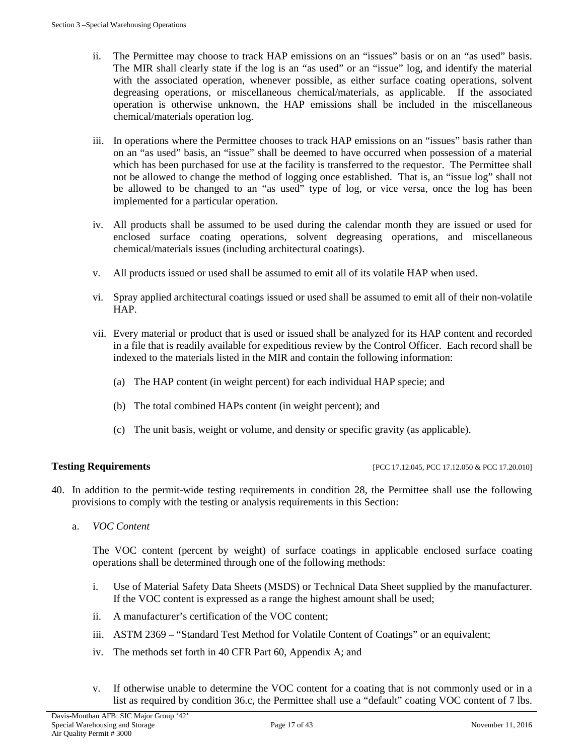- ii. The Permittee may choose to track HAP emissions on an "issues" basis or on an "as used" basis. The MIR shall clearly state if the log is an "as used" or an "issue" log, and identify the material with the associated operation, whenever possible, as either surface coating operations, solvent degreasing operations, or miscellaneous chemical/materials, as applicable. If the associated operation is otherwise unknown, the HAP emissions shall be included in the miscellaneous chemical/materials operation log.
- iii. In operations where the Permittee chooses to track HAP emissions on an "issues" basis rather than on an "as used" basis, an "issue" shall be deemed to have occurred when possession of a material which has been purchased for use at the facility is transferred to the requestor. The Permittee shall not be allowed to change the method of logging once established. That is, an "issue log" shall not be allowed to be changed to an "as used" type of log, or vice versa, once the log has been implemented for a particular operation.
- iv. All products shall be assumed to be used during the calendar month they are issued or used for enclosed surface coating operations, solvent degreasing operations, and miscellaneous chemical/materials issues (including architectural coatings).
- v. All products issued or used shall be assumed to emit all of its volatile HAP when used.
- vi. Spray applied architectural coatings issued or used shall be assumed to emit all of their non-volatile HAP.
- vii. Every material or product that is used or issued shall be analyzed for its HAP content and recorded in a file that is readily available for expeditious review by the Control Officer. Each record shall be indexed to the materials listed in the MIR and contain the following information:
	- (a) The HAP content (in weight percent) for each individual HAP specie; and
	- (b) The total combined HAPs content (in weight percent); and
	- (c) The unit basis, weight or volume, and density or specific gravity (as applicable).

**Testing Requirements** [PCC 17.12.045, PCC 17.12.050 & PCC 17.20.010]

- 40. In addition to the permit-wide testing requirements in condition 28, the Permittee shall use the following provisions to comply with the testing or analysis requirements in this Section:
	- a. *VOC Content*

The VOC content (percent by weight) of surface coatings in applicable enclosed surface coating operations shall be determined through one of the following methods:

- i. Use of Material Safety Data Sheets (MSDS) or Technical Data Sheet supplied by the manufacturer. If the VOC content is expressed as a range the highest amount shall be used;
- ii. A manufacturer's certification of the VOC content;
- iii. ASTM 2369 "Standard Test Method for Volatile Content of Coatings" or an equivalent;
- iv. The methods set forth in 40 CFR Part 60, Appendix A; and
- v. If otherwise unable to determine the VOC content for a coating that is not commonly used or in a list as required by condition 36.c, the Permittee shall use a "default" coating VOC content of 7 lbs.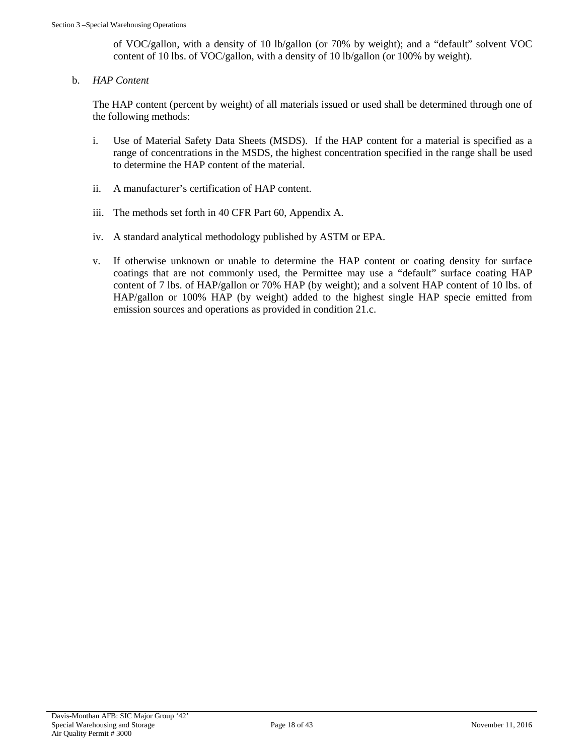of VOC/gallon, with a density of 10 lb/gallon (or 70% by weight); and a "default" solvent VOC content of 10 lbs. of VOC/gallon, with a density of 10 lb/gallon (or 100% by weight).

b. *HAP Content*

The HAP content (percent by weight) of all materials issued or used shall be determined through one of the following methods:

- i. Use of Material Safety Data Sheets (MSDS). If the HAP content for a material is specified as a range of concentrations in the MSDS, the highest concentration specified in the range shall be used to determine the HAP content of the material.
- ii. A manufacturer's certification of HAP content.
- iii. The methods set forth in 40 CFR Part 60, Appendix A.
- iv. A standard analytical methodology published by ASTM or EPA.
- v. If otherwise unknown or unable to determine the HAP content or coating density for surface coatings that are not commonly used, the Permittee may use a "default" surface coating HAP content of 7 lbs. of HAP/gallon or 70% HAP (by weight); and a solvent HAP content of 10 lbs. of HAP/gallon or 100% HAP (by weight) added to the highest single HAP specie emitted from emission sources and operations as provided in condition 21.c.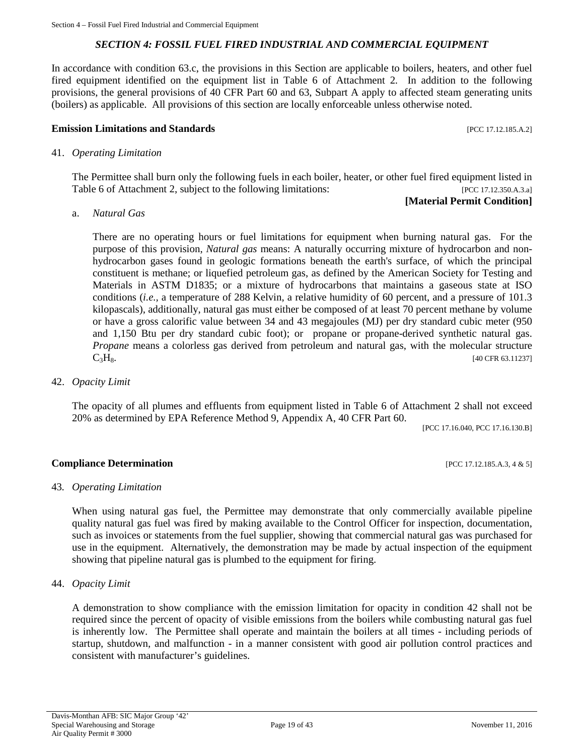# *SECTION 4: FOSSIL FUEL FIRED INDUSTRIAL AND COMMERCIAL EQUIPMENT*

<span id="page-18-0"></span>In accordance with condition 63.c, the provisions in this Section are applicable to boilers, heaters, and other fuel fired equipment identified on the equipment list in Table 6 of Attachment 2. In addition to the following provisions, the general provisions of 40 CFR Part 60 and 63, Subpart A apply to affected steam generating units (boilers) as applicable. All provisions of this section are locally enforceable unless otherwise noted.

#### **Emission Limitations and Standards Emission Limitations and Standards Executive Limitations and Standards Executive Limitations and Standards Executive Limitations and Standards**

#### 41. *Operating Limitation*

The Permittee shall burn only the following fuels in each boiler, heater, or other fuel fired equipment listed in Table 6 of Attachment 2, subject to the following limitations: [PCC 17.12.350.A.3.a]

# **[Material Permit Condition]**

a. *Natural Gas*

There are no operating hours or fuel limitations for equipment when burning natural gas. For the purpose of this provision, *Natural gas* means: A naturally occurring mixture of hydrocarbon and nonhydrocarbon gases found in geologic formations beneath the earth's surface, of which the principal constituent is methane; or liquefied petroleum gas, as defined by the American Society for Testing and Materials in ASTM D1835; or a mixture of hydrocarbons that maintains a gaseous state at ISO conditions (*i.e.,* a temperature of 288 Kelvin, a relative humidity of 60 percent, and a pressure of 101.3 kilopascals), additionally, natural gas must either be composed of at least 70 percent methane by volume or have a gross calorific value between 34 and 43 megajoules (MJ) per dry standard cubic meter (950 and 1,150 Btu per dry standard cubic foot); or propane or propane-derived synthetic natural gas. *Propane* means a colorless gas derived from petroleum and natural gas, with the molecular structure  $C_3H_8$ . [40 CFR 63.11237]

42. *Opacity Limit*

The opacity of all plumes and effluents from equipment listed in Table 6 of Attachment 2 shall not exceed 20% as determined by EPA Reference Method 9, Appendix A, 40 CFR Part 60.

[PCC 17.16.040, PCC 17.16.130.B]

# **Compliance Determination** [PCC 17.12.185.A.3, 4 & 5]

#### 43*. Operating Limitation*

When using natural gas fuel, the Permittee may demonstrate that only commercially available pipeline quality natural gas fuel was fired by making available to the Control Officer for inspection, documentation, such as invoices or statements from the fuel supplier, showing that commercial natural gas was purchased for use in the equipment. Alternatively, the demonstration may be made by actual inspection of the equipment showing that pipeline natural gas is plumbed to the equipment for firing.

#### 44. *Opacity Limit*

A demonstration to show compliance with the emission limitation for opacity in condition 42 shall not be required since the percent of opacity of visible emissions from the boilers while combusting natural gas fuel is inherently low. The Permittee shall operate and maintain the boilers at all times - including periods of startup, shutdown, and malfunction - in a manner consistent with good air pollution control practices and consistent with manufacturer's guidelines.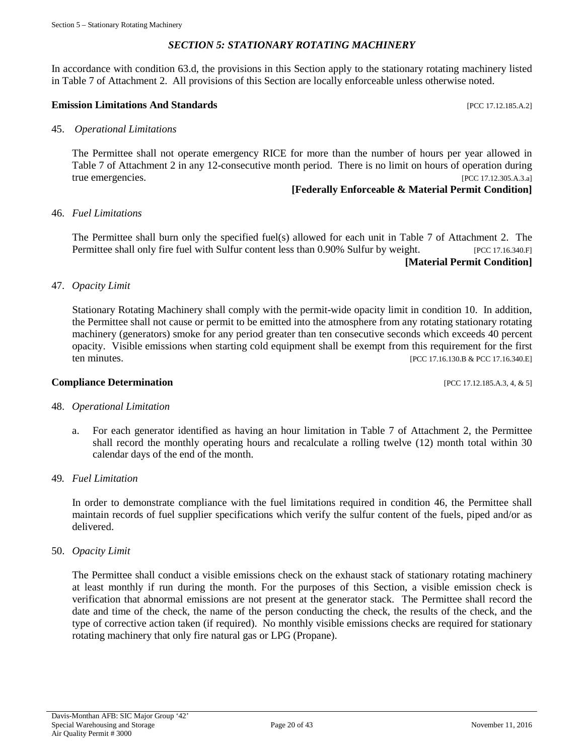# *SECTION 5: STATIONARY ROTATING MACHINERY*

<span id="page-19-0"></span>In accordance with condition 63.d, the provisions in this Section apply to the stationary rotating machinery listed in Table 7 of Attachment 2. All provisions of this Section are locally enforceable unless otherwise noted.

#### **Emission Limitations And Standards Emission Limitations And Standards Exercísion**

45. *Operational Limitations*

The Permittee shall not operate emergency RICE for more than the number of hours per year allowed in Table 7 of Attachment 2 in any 12-consecutive month period. There is no limit on hours of operation during true emergencies. [PCC 17.12.305.A.3.a]

# **[Federally Enforceable & Material Permit Condition]**

#### 46. *Fuel Limitations*

The Permittee shall burn only the specified fuel(s) allowed for each unit in Table 7 of Attachment 2. The Permittee shall only fire fuel with Sulfur content less than 0.90% Sulfur by weight. [PCC 17.16.340.F] **[Material Permit Condition]**

47. *Opacity Limit*

Stationary Rotating Machinery shall comply with the permit-wide opacity limit in condition 10. In addition, the Permittee shall not cause or permit to be emitted into the atmosphere from any rotating stationary rotating machinery (generators) smoke for any period greater than ten consecutive seconds which exceeds 40 percent opacity. Visible emissions when starting cold equipment shall be exempt from this requirement for the first ten minutes. [PCC 17.16.130.B & PCC 17.16.340.E]

#### **Compliance Determination** [PCC 17.12.185.A.3, 4, & 5]

#### 48. *Operational Limitation*

- a. For each generator identified as having an hour limitation in Table 7 of Attachment 2, the Permittee shall record the monthly operating hours and recalculate a rolling twelve (12) month total within 30 calendar days of the end of the month.
- 49*. Fuel Limitation*

In order to demonstrate compliance with the fuel limitations required in condition 46, the Permittee shall maintain records of fuel supplier specifications which verify the sulfur content of the fuels, piped and/or as delivered.

50. *Opacity Limit* 

The Permittee shall conduct a visible emissions check on the exhaust stack of stationary rotating machinery at least monthly if run during the month. For the purposes of this Section, a visible emission check is verification that abnormal emissions are not present at the generator stack. The Permittee shall record the date and time of the check, the name of the person conducting the check, the results of the check, and the type of corrective action taken (if required). No monthly visible emissions checks are required for stationary rotating machinery that only fire natural gas or LPG (Propane).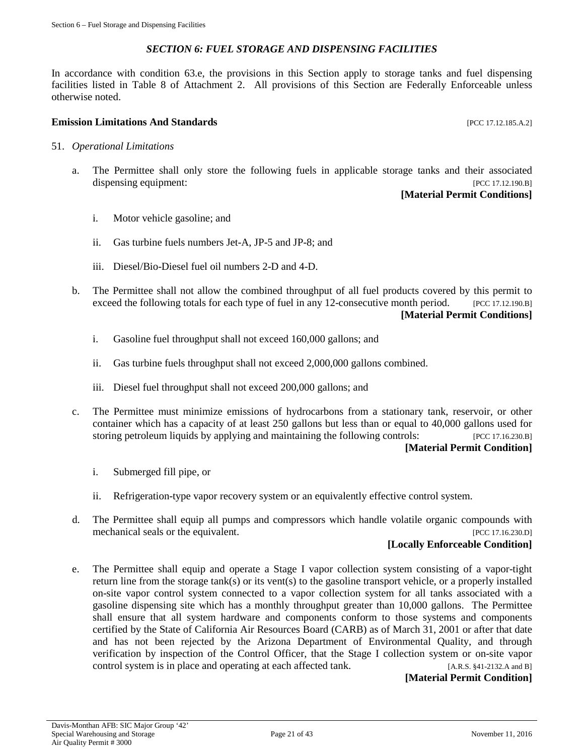# *SECTION 6: FUEL STORAGE AND DISPENSING FACILITIES*

<span id="page-20-0"></span>In accordance with condition 63.e, the provisions in this Section apply to storage tanks and fuel dispensing facilities listed in Table 8 of Attachment 2. All provisions of this Section are Federally Enforceable unless otherwise noted.

#### **Emission Limitations And Standards** [PCC 17.12.185.A.2]

- 51. *Operational Limitations*
	- a. The Permittee shall only store the following fuels in applicable storage tanks and their associated dispensing equipment: [PCC 17.12.190.B]

# **[Material Permit Conditions]**

- i. Motor vehicle gasoline; and
- ii. Gas turbine fuels numbers Jet-A, JP-5 and JP-8; and
- iii. Diesel/Bio-Diesel fuel oil numbers 2-D and 4-D.
- b. The Permittee shall not allow the combined throughput of all fuel products covered by this permit to exceed the following totals for each type of fuel in any 12-consecutive month period. [PCC 17.12.190.B] **[Material Permit Conditions]**
	- i. Gasoline fuel throughput shall not exceed 160,000 gallons; and
	- ii. Gas turbine fuels throughput shall not exceed 2,000,000 gallons combined.
	- iii. Diesel fuel throughput shall not exceed 200,000 gallons; and
- c. The Permittee must minimize emissions of hydrocarbons from a stationary tank, reservoir, or other container which has a capacity of at least 250 gallons but less than or equal to 40,000 gallons used for storing petroleum liquids by applying and maintaining the following controls: [PCC 17.16.230.B] **[Material Permit Condition]**

# i. Submerged fill pipe, or

- ii. Refrigeration-type vapor recovery system or an equivalently effective control system.
- d. The Permittee shall equip all pumps and compressors which handle volatile organic compounds with mechanical seals or the equivalent. [PCC 17.16.230.D]

# **[Locally Enforceable Condition]**

e. The Permittee shall equip and operate a Stage I vapor collection system consisting of a vapor-tight return line from the storage tank(s) or its vent(s) to the gasoline transport vehicle, or a properly installed on-site vapor control system connected to a vapor collection system for all tanks associated with a gasoline dispensing site which has a monthly throughput greater than 10,000 gallons. The Permittee shall ensure that all system hardware and components conform to those systems and components certified by the State of California Air Resources Board (CARB) as of March 31, 2001 or after that date and has not been rejected by the Arizona Department of Environmental Quality, and through verification by inspection of the Control Officer, that the Stage I collection system or on-site vapor control system is in place and operating at each affected tank. [A.R.S. §41-2132.A and B]

# **[Material Permit Condition]**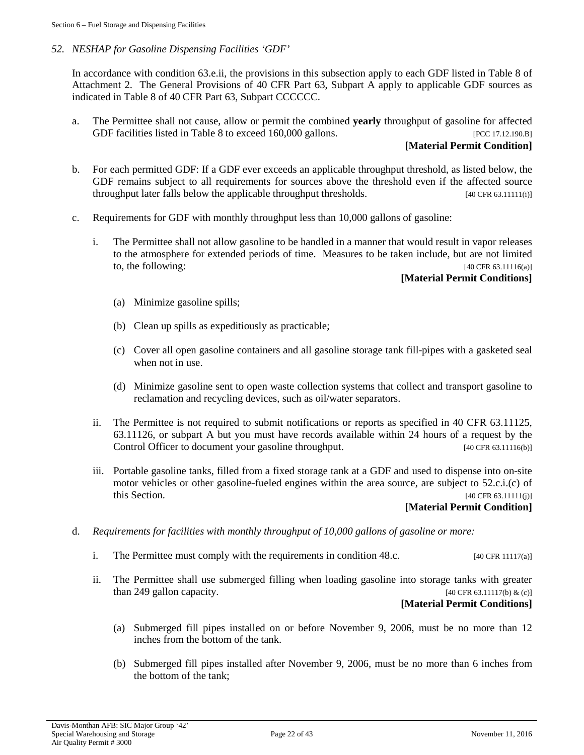# *52. NESHAP for Gasoline Dispensing Facilities 'GDF'*

In accordance with condition 63.e.ii, the provisions in this subsection apply to each GDF listed in Table 8 of Attachment 2. The General Provisions of 40 CFR Part 63, Subpart A apply to applicable GDF sources as indicated in Table 8 of 40 CFR Part 63, Subpart CCCCCC.

a. The Permittee shall not cause, allow or permit the combined **yearly** throughput of gasoline for affected GDF facilities listed in Table 8 to exceed 160,000 gallons. [PCC 17.12.190.B]

# **[Material Permit Condition]**

- b. For each permitted GDF: If a GDF ever exceeds an applicable throughput threshold, as listed below, the GDF remains subject to all requirements for sources above the threshold even if the affected source throughput later falls below the applicable throughput thresholds. [40 CFR 63.11111(i)]
- c. Requirements for GDF with monthly throughput less than 10,000 gallons of gasoline:
	- i. The Permittee shall not allow gasoline to be handled in a manner that would result in vapor releases to the atmosphere for extended periods of time. Measures to be taken include, but are not limited to, the following:  $[40 \text{ CFR } 63.11116(a)]$

# **[Material Permit Conditions]**

- (a) Minimize gasoline spills;
- (b) Clean up spills as expeditiously as practicable;
- (c) Cover all open gasoline containers and all gasoline storage tank fill-pipes with a gasketed seal when not in use.
- (d) Minimize gasoline sent to open waste collection systems that collect and transport gasoline to reclamation and recycling devices, such as oil/water separators.
- ii. The Permittee is not required to submit notifications or reports as specified in 40 CFR 63.11125, 63.11126, or subpart A but you must have records available within 24 hours of a request by the Control Officer to document your gasoline throughput. [40 CFR 63.11116(b)]
- iii. Portable gasoline tanks, filled from a fixed storage tank at a GDF and used to dispense into on-site motor vehicles or other gasoline-fueled engines within the area source, are subject to 52.c.i.(c) of this Section. [40 CFR 63.11111(j)]

# **[Material Permit Condition]**

- d. *Requirements for facilities with monthly throughput of 10,000 gallons of gasoline or more:*
	- i. The Permittee must comply with the requirements in condition 48.c. [40 CFR 11117(a)]
	- ii. The Permittee shall use submerged filling when loading gasoline into storage tanks with greater than 249 gallon capacity.  $[40 \text{ CFR } 63.11117(b) \& (c)]$

# **[Material Permit Conditions]**

- (a) Submerged fill pipes installed on or before November 9, 2006, must be no more than 12 inches from the bottom of the tank.
- (b) Submerged fill pipes installed after November 9, 2006, must be no more than 6 inches from the bottom of the tank;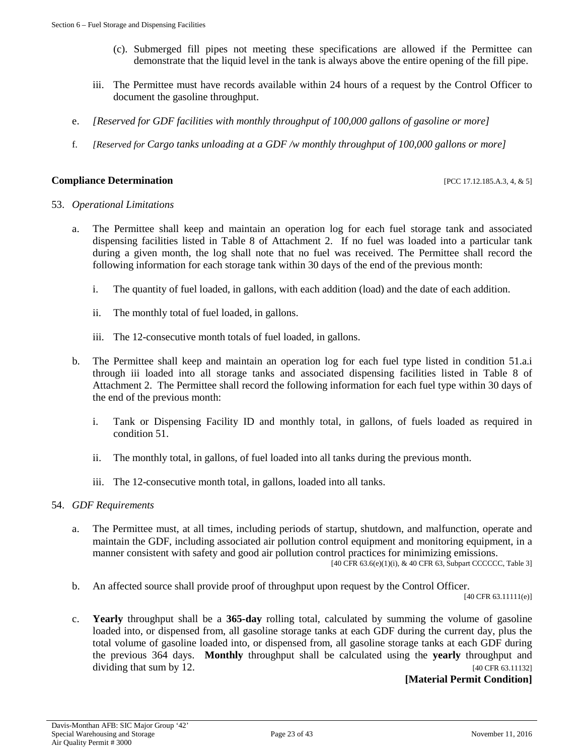- (c). Submerged fill pipes not meeting these specifications are allowed if the Permittee can demonstrate that the liquid level in the tank is always above the entire opening of the fill pipe.
- iii. The Permittee must have records available within 24 hours of a request by the Control Officer to document the gasoline throughput.
- e. *[Reserved for GDF facilities with monthly throughput of 100,000 gallons of gasoline or more]*
- f. *[Reserved for Cargo tanks unloading at a GDF /w monthly throughput of 100,000 gallons or more]*

#### **Compliance Determination** [PCC 17.12.185.A.3, 4, & 5]

#### 53. *Operational Limitations*

- a. The Permittee shall keep and maintain an operation log for each fuel storage tank and associated dispensing facilities listed in Table 8 of Attachment 2. If no fuel was loaded into a particular tank during a given month, the log shall note that no fuel was received. The Permittee shall record the following information for each storage tank within 30 days of the end of the previous month:
	- i. The quantity of fuel loaded, in gallons, with each addition (load) and the date of each addition.
	- ii. The monthly total of fuel loaded, in gallons.
	- iii. The 12-consecutive month totals of fuel loaded, in gallons.
- b. The Permittee shall keep and maintain an operation log for each fuel type listed in condition 51.a.i through iii loaded into all storage tanks and associated dispensing facilities listed in Table 8 of Attachment 2. The Permittee shall record the following information for each fuel type within 30 days of the end of the previous month:
	- i. Tank or Dispensing Facility ID and monthly total, in gallons, of fuels loaded as required in condition 51.
	- ii. The monthly total, in gallons, of fuel loaded into all tanks during the previous month.
	- iii. The 12-consecutive month total, in gallons, loaded into all tanks.

#### 54. *GDF Requirements*

a. The Permittee must, at all times, including periods of startup, shutdown, and malfunction, operate and maintain the GDF, including associated air pollution control equipment and monitoring equipment, in a manner consistent with safety and good air pollution control practices for minimizing emissions.

[40 CFR 63.6(e)(1)(i), & 40 CFR 63, Subpart CCCCCC, Table 3]

b. An affected source shall provide proof of throughput upon request by the Control Officer.

[40 CFR 63.11111(e)]

c. **Yearly** throughput shall be a **365-day** rolling total, calculated by summing the volume of gasoline loaded into, or dispensed from, all gasoline storage tanks at each GDF during the current day, plus the total volume of gasoline loaded into, or dispensed from, all gasoline storage tanks at each GDF during the previous 364 days. **Monthly** throughput shall be calculated using the **yearly** throughput and dividing that sum by 12.  $[40 \text{ CFR } 63.11132]$ 

# **[Material Permit Condition]**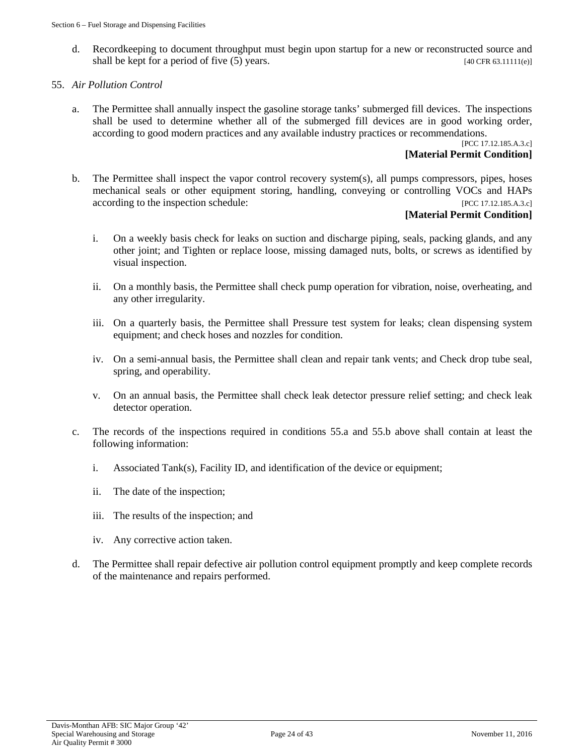d. Recordkeeping to document throughput must begin upon startup for a new or reconstructed source and shall be kept for a period of five  $(5)$  years. [40 CFR 63.11111(e)]

# 55. *Air Pollution Control*

a. The Permittee shall annually inspect the gasoline storage tanks' submerged fill devices. The inspections shall be used to determine whether all of the submerged fill devices are in good working order, according to good modern practices and any available industry practices or recommendations.

[PCC 17.12.185.A.3.c]

# **[Material Permit Condition]**

b. The Permittee shall inspect the vapor control recovery system(s), all pumps compressors, pipes, hoses mechanical seals or other equipment storing, handling, conveying or controlling VOCs and HAPs according to the inspection schedule: [PCC 17.12.185.A.3.c]

# **[Material Permit Condition]**

- i. On a weekly basis check for leaks on suction and discharge piping, seals, packing glands, and any other joint; and Tighten or replace loose, missing damaged nuts, bolts, or screws as identified by visual inspection.
- ii. On a monthly basis, the Permittee shall check pump operation for vibration, noise, overheating, and any other irregularity.
- iii. On a quarterly basis, the Permittee shall Pressure test system for leaks; clean dispensing system equipment; and check hoses and nozzles for condition.
- iv. On a semi-annual basis, the Permittee shall clean and repair tank vents; and Check drop tube seal, spring, and operability.
- v. On an annual basis, the Permittee shall check leak detector pressure relief setting; and check leak detector operation.
- c. The records of the inspections required in conditions 55.a and 55.b above shall contain at least the following information:
	- i. Associated Tank(s), Facility ID, and identification of the device or equipment;
	- ii. The date of the inspection;
	- iii. The results of the inspection; and
	- iv. Any corrective action taken.
- d. The Permittee shall repair defective air pollution control equipment promptly and keep complete records of the maintenance and repairs performed.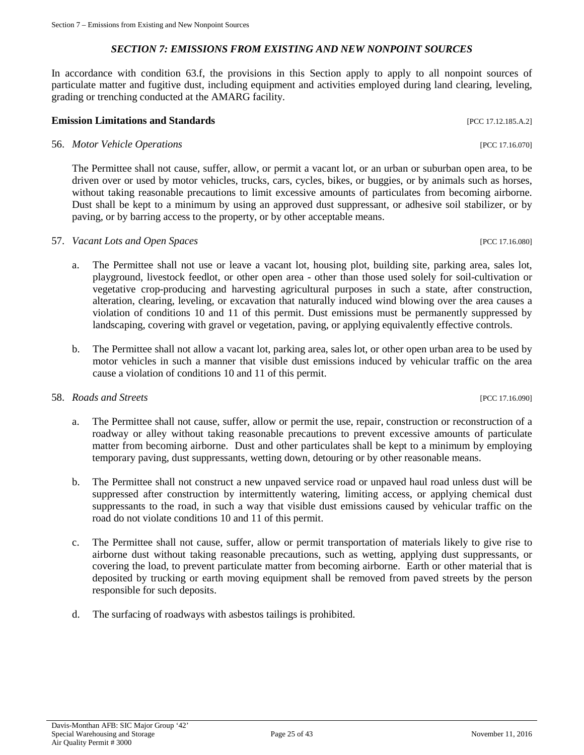# *SECTION 7: EMISSIONS FROM EXISTING AND NEW NONPOINT SOURCES*

<span id="page-24-0"></span>In accordance with condition 63.f, the provisions in this Section apply to apply to all nonpoint sources of particulate matter and fugitive dust, including equipment and activities employed during land clearing, leveling, grading or trenching conducted at the AMARG facility.

# **Emission Limitations and Standards Example 2018 Example 2018 [PCC 17.12.185.A.2]**

# 56. *Motor Vehicle Operations* [PCC 17.16.070]

The Permittee shall not cause, suffer, allow, or permit a vacant lot, or an urban or suburban open area, to be driven over or used by motor vehicles, trucks, cars, cycles, bikes, or buggies, or by animals such as horses, without taking reasonable precautions to limit excessive amounts of particulates from becoming airborne. Dust shall be kept to a minimum by using an approved dust suppressant, or adhesive soil stabilizer, or by paving, or by barring access to the property, or by other acceptable means.

# 57. *Vacant Lots and Open Spaces* [PCC 17.16.080]

- a. The Permittee shall not use or leave a vacant lot, housing plot, building site, parking area, sales lot, playground, livestock feedlot, or other open area - other than those used solely for soil-cultivation or vegetative crop-producing and harvesting agricultural purposes in such a state, after construction, alteration, clearing, leveling, or excavation that naturally induced wind blowing over the area causes a violation of conditions 10 and 11 of this permit. Dust emissions must be permanently suppressed by landscaping, covering with gravel or vegetation, paving, or applying equivalently effective controls.
- b. The Permittee shall not allow a vacant lot, parking area, sales lot, or other open urban area to be used by motor vehicles in such a manner that visible dust emissions induced by vehicular traffic on the area cause a violation of conditions 10 and 11 of this permit.

# 58. *Roads and Streets* [PCC 17.16.090]

- a. The Permittee shall not cause, suffer, allow or permit the use, repair, construction or reconstruction of a roadway or alley without taking reasonable precautions to prevent excessive amounts of particulate matter from becoming airborne. Dust and other particulates shall be kept to a minimum by employing temporary paving, dust suppressants, wetting down, detouring or by other reasonable means.
- b. The Permittee shall not construct a new unpaved service road or unpaved haul road unless dust will be suppressed after construction by intermittently watering, limiting access, or applying chemical dust suppressants to the road, in such a way that visible dust emissions caused by vehicular traffic on the road do not violate conditions 10 and 11 of this permit.
- c. The Permittee shall not cause, suffer, allow or permit transportation of materials likely to give rise to airborne dust without taking reasonable precautions, such as wetting, applying dust suppressants, or covering the load, to prevent particulate matter from becoming airborne. Earth or other material that is deposited by trucking or earth moving equipment shall be removed from paved streets by the person responsible for such deposits.
- d. The surfacing of roadways with asbestos tailings is prohibited.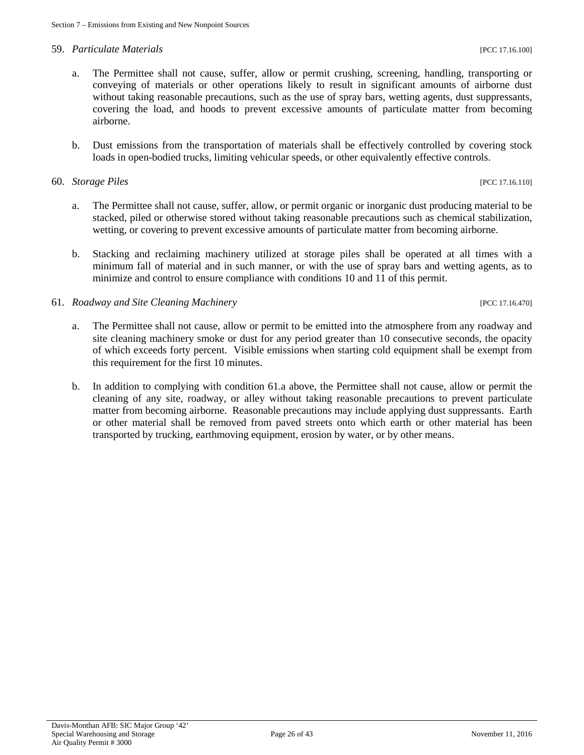#### 59. *Particulate Materials* [PCC 17.16.100]

- a. The Permittee shall not cause, suffer, allow or permit crushing, screening, handling, transporting or conveying of materials or other operations likely to result in significant amounts of airborne dust without taking reasonable precautions, such as the use of spray bars, wetting agents, dust suppressants, covering the load, and hoods to prevent excessive amounts of particulate matter from becoming airborne.
- b. Dust emissions from the transportation of materials shall be effectively controlled by covering stock loads in open-bodied trucks, limiting vehicular speeds, or other equivalently effective controls.

#### 60. *Storage Piles* [PCC 17.16.110]

- a. The Permittee shall not cause, suffer, allow, or permit organic or inorganic dust producing material to be stacked, piled or otherwise stored without taking reasonable precautions such as chemical stabilization, wetting, or covering to prevent excessive amounts of particulate matter from becoming airborne.
- b. Stacking and reclaiming machinery utilized at storage piles shall be operated at all times with a minimum fall of material and in such manner, or with the use of spray bars and wetting agents, as to minimize and control to ensure compliance with conditions 10 and 11 of this permit.

# 61. *Roadway and Site Cleaning Machinery* [PCC 17.16.470]

- a. The Permittee shall not cause, allow or permit to be emitted into the atmosphere from any roadway and site cleaning machinery smoke or dust for any period greater than 10 consecutive seconds, the opacity of which exceeds forty percent. Visible emissions when starting cold equipment shall be exempt from this requirement for the first 10 minutes.
- b. In addition to complying with condition 61.a above, the Permittee shall not cause, allow or permit the cleaning of any site, roadway, or alley without taking reasonable precautions to prevent particulate matter from becoming airborne. Reasonable precautions may include applying dust suppressants. Earth or other material shall be removed from paved streets onto which earth or other material has been transported by trucking, earthmoving equipment, erosion by water, or by other means.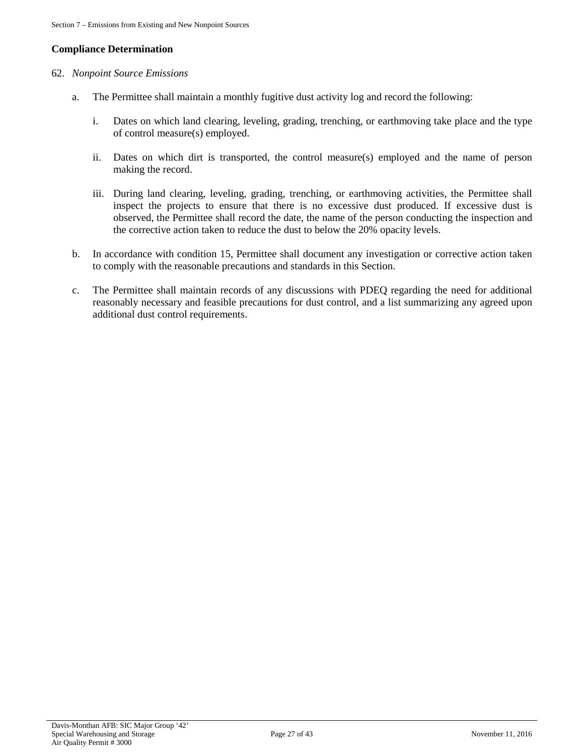# **Compliance Determination**

# 62. *Nonpoint Source Emissions*

- a. The Permittee shall maintain a monthly fugitive dust activity log and record the following:
	- i. Dates on which land clearing, leveling, grading, trenching, or earthmoving take place and the type of control measure(s) employed.
	- ii. Dates on which dirt is transported, the control measure(s) employed and the name of person making the record.
	- iii. During land clearing, leveling, grading, trenching, or earthmoving activities, the Permittee shall inspect the projects to ensure that there is no excessive dust produced. If excessive dust is observed, the Permittee shall record the date, the name of the person conducting the inspection and the corrective action taken to reduce the dust to below the 20% opacity levels.
- b. In accordance with condition 15, Permittee shall document any investigation or corrective action taken to comply with the reasonable precautions and standards in this Section.
- c. The Permittee shall maintain records of any discussions with PDEQ regarding the need for additional reasonably necessary and feasible precautions for dust control, and a list summarizing any agreed upon additional dust control requirements.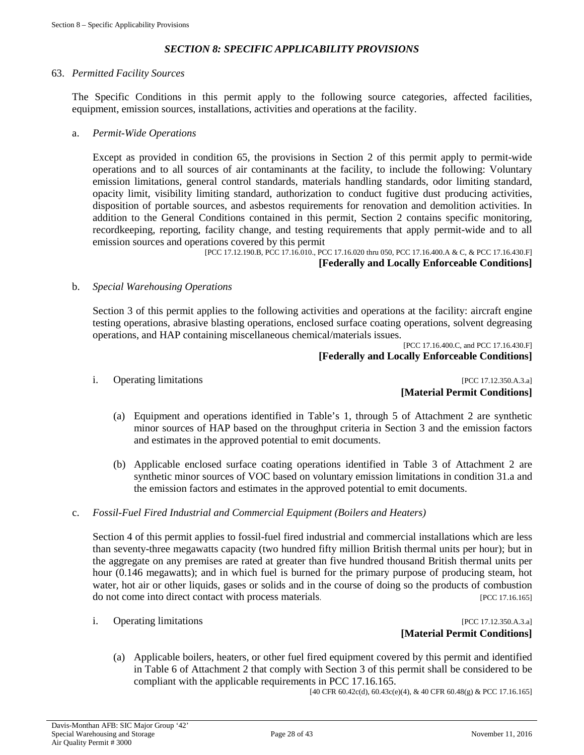# *SECTION 8: SPECIFIC APPLICABILITY PROVISIONS*

#### <span id="page-27-0"></span>63. *Permitted Facility Sources*

The Specific Conditions in this permit apply to the following source categories, affected facilities, equipment, emission sources, installations, activities and operations at the facility.

#### a. *Permit-Wide Operations*

Except as provided in condition 65, the provisions in Section 2 of this permit apply to permit-wide operations and to all sources of air contaminants at the facility, to include the following: Voluntary emission limitations, general control standards, materials handling standards, odor limiting standard, opacity limit, visibility limiting standard, authorization to conduct fugitive dust producing activities, disposition of portable sources, and asbestos requirements for renovation and demolition activities. In addition to the General Conditions contained in this permit, Section 2 contains specific monitoring, recordkeeping, reporting, facility change, and testing requirements that apply permit-wide and to all emission sources and operations covered by this permit

[PCC 17.12.190.B, PCC 17.16.010., PCC 17.16.020 thru 050, PCC 17.16.400.A & C, & PCC 17.16.430.F]

#### **[Federally and Locally Enforceable Conditions]**

#### b. *Special Warehousing Operations*

Section 3 of this permit applies to the following activities and operations at the facility: aircraft engine testing operations, abrasive blasting operations, enclosed surface coating operations, solvent degreasing operations, and HAP containing miscellaneous chemical/materials issues.

[PCC 17.16.400.C, and PCC 17.16.430.F] **[Federally and Locally Enforceable Conditions]**

i. Operating limitations [PCC 17.12.350.A.3.a] **[Material Permit Conditions]**

- (a) Equipment and operations identified in Table's 1, through 5 of Attachment 2 are synthetic minor sources of HAP based on the throughput criteria in Section 3 and the emission factors and estimates in the approved potential to emit documents.
- (b) Applicable enclosed surface coating operations identified in Table 3 of Attachment 2 are synthetic minor sources of VOC based on voluntary emission limitations in condition 31.a and the emission factors and estimates in the approved potential to emit documents.
- c. *Fossil-Fuel Fired Industrial and Commercial Equipment (Boilers and Heaters)*

Section 4 of this permit applies to fossil-fuel fired industrial and commercial installations which are less than seventy-three megawatts capacity (two hundred fifty million British thermal units per hour); but in the aggregate on any premises are rated at greater than five hundred thousand British thermal units per hour (0.146 megawatts); and in which fuel is burned for the primary purpose of producing steam, hot water, hot air or other liquids, gases or solids and in the course of doing so the products of combustion do not come into direct contact with process materials. [PCC 17.16.165]

i. Operating limitations [PCC 17.12.350.A.3.a] **[Material Permit Conditions]**

(a) Applicable boilers, heaters, or other fuel fired equipment covered by this permit and identified in Table 6 of Attachment 2 that comply with Section 3 of this permit shall be considered to be compliant with the applicable requirements in PCC 17.16.165.

[40 CFR 60.42c(d), 60.43c(e)(4), & 40 CFR 60.48(g) & PCC 17.16.165]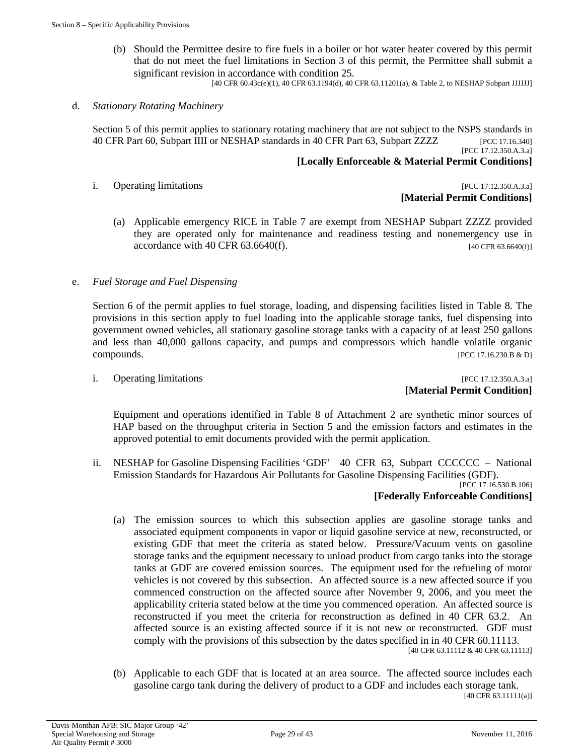(b) Should the Permittee desire to fire fuels in a boiler or hot water heater covered by this permit that do not meet the fuel limitations in Section 3 of this permit, the Permittee shall submit a significant revision in accordance with condition 25.

[40 CFR 60.43c(e)(1), 40 CFR 63.1194(d), 40 CFR 63.11201(a), & Table 2, to NESHAP Subpart JJJJJJ]

#### d. *Stationary Rotating Machinery*

Section 5 of this permit applies to stationary rotating machinery that are not subject to the NSPS standards in 40 CFR Part 60, Subpart IIII or NESHAP standards in 40 CFR Part 63, Subpart ZZZZ [PCC 17.16.340] [PCC 17.12.350.A.3.a]

#### **[Locally Enforceable & Material Permit Conditions]**

i. Operating limitations [PCC 17.12.350.A.3.a]

# **[Material Permit Conditions]**

(a) Applicable emergency RICE in Table 7 are exempt from NESHAP Subpart ZZZZ provided they are operated only for maintenance and readiness testing and nonemergency use in accordance with 40 CFR  $63.6640(f)$ . [40 CFR 63.6640(f)]

#### e. *Fuel Storage and Fuel Dispensing*

Section 6 of the permit applies to fuel storage, loading, and dispensing facilities listed in Table 8. The provisions in this section apply to fuel loading into the applicable storage tanks, fuel dispensing into government owned vehicles, all stationary gasoline storage tanks with a capacity of at least 250 gallons and less than 40,000 gallons capacity, and pumps and compressors which handle volatile organic compounds. [PCC 17.16.230.B & D]

#### i. Operating limitations [PCC 17.12.350.A.3.a] **[Material Permit Condition]**

Equipment and operations identified in Table 8 of Attachment 2 are synthetic minor sources of HAP based on the throughput criteria in Section 5 and the emission factors and estimates in the approved potential to emit documents provided with the permit application.

ii. NESHAP for Gasoline Dispensing Facilities 'GDF' 40 CFR 63, Subpart CCCCCC – National Emission Standards for Hazardous Air Pollutants for Gasoline Dispensing Facilities (GDF).

[PCC 17.16.530.B.106]

# **[Federally Enforceable Conditions]**

(a) The emission sources to which this subsection applies are gasoline storage tanks and associated equipment components in vapor or liquid gasoline service at new, reconstructed, or existing GDF that meet the criteria as stated below. Pressure/Vacuum vents on gasoline storage tanks and the equipment necessary to unload product from cargo tanks into the storage tanks at GDF are covered emission sources. The equipment used for the refueling of motor vehicles is not covered by this subsection. An affected source is a new affected source if you commenced construction on the affected source after November 9, 2006, and you meet the applicability criteria stated below at the time you commenced operation. An affected source is reconstructed if you meet the criteria for reconstruction as defined in 40 CFR 63.2. An affected source is an existing affected source if it is not new or reconstructed. GDF must comply with the provisions of this subsection by the dates specified in in 40 CFR 60.11113.

[40 CFR 63.11112 & 40 CFR 63.11113]

**(**b) Applicable to each GDF that is located at an area source. The affected source includes each gasoline cargo tank during the delivery of product to a GDF and includes each storage tank. [40 CFR 63.11111(a)]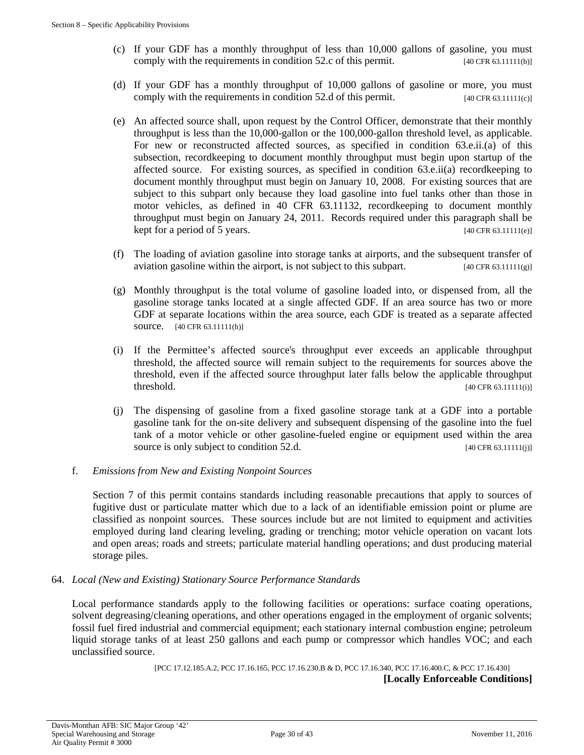- (c) If your GDF has a monthly throughput of less than 10,000 gallons of gasoline, you must comply with the requirements in condition 52.c of this permit. [40 CFR 63.11111(b)]
- (d) If your GDF has a monthly throughput of 10,000 gallons of gasoline or more, you must comply with the requirements in condition 52.d of this permit.  $[40 \text{ CFR } 63.1111(c)]$
- (e) An affected source shall, upon request by the Control Officer, demonstrate that their monthly throughput is less than the 10,000-gallon or the 100,000-gallon threshold level, as applicable. For new or reconstructed affected sources, as specified in condition 63.e.ii.(a) of this subsection, recordkeeping to document monthly throughput must begin upon startup of the affected source. For existing sources, as specified in condition 63.e.ii(a) recordkeeping to document monthly throughput must begin on January 10, 2008. For existing sources that are subject to this subpart only because they load gasoline into fuel tanks other than those in motor vehicles, as defined in 40 CFR 63.11132, recordkeeping to document monthly throughput must begin on January 24, 2011. Records required under this paragraph shall be kept for a period of 5 years. [40 CFR 63.11111(e)]
- (f) The loading of aviation gasoline into storage tanks at airports, and the subsequent transfer of aviation gasoline within the airport, is not subject to this subpart.  $[40 \text{ CFR } 63.11111(g)]$
- (g) Monthly throughput is the total volume of gasoline loaded into, or dispensed from, all the gasoline storage tanks located at a single affected GDF. If an area source has two or more GDF at separate locations within the area source, each GDF is treated as a separate affected source. [40 CFR 63.11111(h)]
- (i) If the Permittee's affected source's throughput ever exceeds an applicable throughput threshold, the affected source will remain subject to the requirements for sources above the threshold, even if the affected source throughput later falls below the applicable throughput threshold. [40 CFR 63.11111(i)]
- (j) The dispensing of gasoline from a fixed gasoline storage tank at a GDF into a portable gasoline tank for the on-site delivery and subsequent dispensing of the gasoline into the fuel tank of a motor vehicle or other gasoline-fueled engine or equipment used within the area source is only subject to condition 52.d. [40 CFR 63.11111(j)]

# f. *Emissions from New and Existing Nonpoint Sources*

Section 7 of this permit contains standards including reasonable precautions that apply to sources of fugitive dust or particulate matter which due to a lack of an identifiable emission point or plume are classified as nonpoint sources. These sources include but are not limited to equipment and activities employed during land clearing leveling, grading or trenching; motor vehicle operation on vacant lots and open areas; roads and streets; particulate material handling operations; and dust producing material storage piles.

# 64. *Local (New and Existing) Stationary Source Performance Standards*

Local performance standards apply to the following facilities or operations: surface coating operations, solvent degreasing/cleaning operations, and other operations engaged in the employment of organic solvents; fossil fuel fired industrial and commercial equipment; each stationary internal combustion engine; petroleum liquid storage tanks of at least 250 gallons and each pump or compressor which handles VOC; and each unclassified source.

# [PCC 17.12.185.A.2, PCC 17.16.165, PCC 17.16.230.B & D, PCC 17.16.340, PCC 17.16.400.C, & PCC 17.16.430] **[Locally Enforceable Conditions]**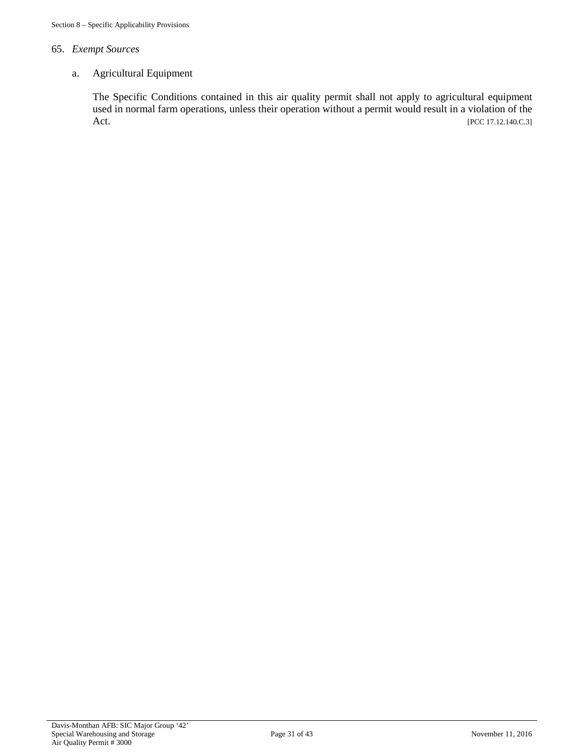# 65. *Exempt Sources*

# a. Agricultural Equipment

The Specific Conditions contained in this air quality permit shall not apply to agricultural equipment used in normal farm operations, unless their operation without a permit would result in a violation of the Act. [PCC 17.12.140.C.3]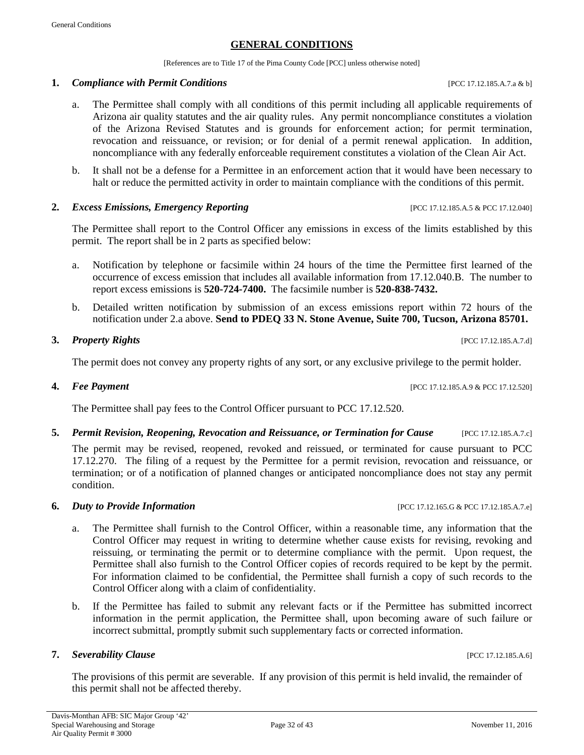# **GENERAL CONDITIONS**

[References are to Title 17 of the Pima County Code [PCC] unless otherwise noted]

#### **1.** *Compliance with Permit Conditions pcc 17.12.185.A.7.a & b]*

- a. The Permittee shall comply with all conditions of this permit including all applicable requirements of Arizona air quality statutes and the air quality rules. Any permit noncompliance constitutes a violation of the Arizona Revised Statutes and is grounds for enforcement action; for permit termination, revocation and reissuance, or revision; or for denial of a permit renewal application. In addition, noncompliance with any federally enforceable requirement constitutes a violation of the Clean Air Act.
- b. It shall not be a defense for a Permittee in an enforcement action that it would have been necessary to halt or reduce the permitted activity in order to maintain compliance with the conditions of this permit.

#### **2.** *Excess Emissions, Emergency Reporting* [PCC 17.12.185.A.5 & PCC 17.12.040]

The Permittee shall report to the Control Officer any emissions in excess of the limits established by this permit. The report shall be in 2 parts as specified below:

- a. Notification by telephone or facsimile within 24 hours of the time the Permittee first learned of the occurrence of excess emission that includes all available information from 17.12.040.B. The number to report excess emissions is **520-724-7400.** The facsimile number is **520-838-7432.**
- b. Detailed written notification by submission of an excess emissions report within 72 hours of the notification under 2.a above. **Send to PDEQ 33 N. Stone Avenue, Suite 700, Tucson, Arizona 85701.**

#### **3.** *Property Rights* [PCC 17.12.185.A.7.d]

The permit does not convey any property rights of any sort, or any exclusive privilege to the permit holder.

#### **4.** *Fee Payment* [PCC 17.12.185.A.9 & PCC 17.12.520]

The Permittee shall pay fees to the Control Officer pursuant to PCC 17.12.520.

#### **5.** *Permit Revision, Reopening, Revocation and Reissuance, or Termination for Cause* [PCC 17.12.185.A.7.c]

The permit may be revised, reopened, revoked and reissued, or terminated for cause pursuant to PCC 17.12.270. The filing of a request by the Permittee for a permit revision, revocation and reissuance, or termination; or of a notification of planned changes or anticipated noncompliance does not stay any permit condition.

#### **6.** *Duty to Provide Information* [PCC 17.12.165.G & PCC 17.12.185.A.7.e]

- a. The Permittee shall furnish to the Control Officer, within a reasonable time, any information that the Control Officer may request in writing to determine whether cause exists for revising, revoking and reissuing, or terminating the permit or to determine compliance with the permit. Upon request, the Permittee shall also furnish to the Control Officer copies of records required to be kept by the permit. For information claimed to be confidential, the Permittee shall furnish a copy of such records to the Control Officer along with a claim of confidentiality.
- b. If the Permittee has failed to submit any relevant facts or if the Permittee has submitted incorrect information in the permit application, the Permittee shall, upon becoming aware of such failure or incorrect submittal, promptly submit such supplementary facts or corrected information.

#### **7.** *Severability Clause Severability Clause PCC 17.12.185.A.6]* **<b>***PCC 17.12.185.A.6]*

The provisions of this permit are severable. If any provision of this permit is held invalid, the remainder of this permit shall not be affected thereby.

#### Page 32 of 43 November 11, 2016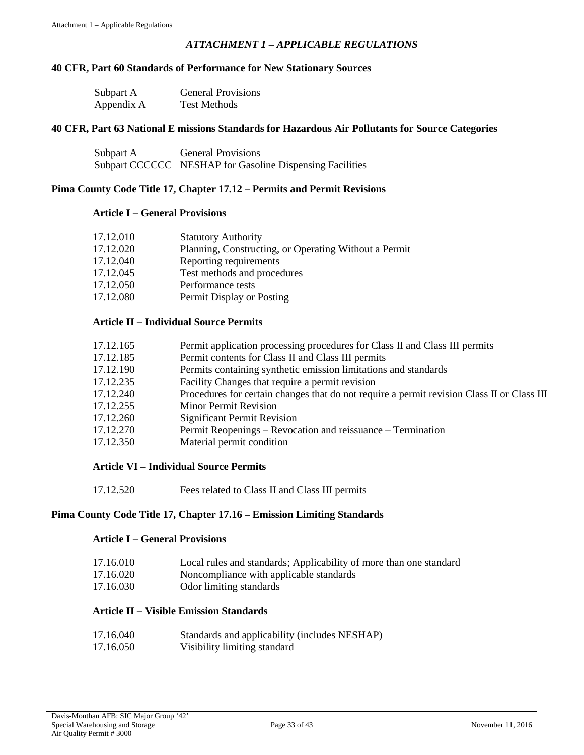# *ATTACHMENT 1 – APPLICABLE REGULATIONS*

# <span id="page-32-0"></span>**40 CFR, Part 60 Standards of Performance for New Stationary Sources**

| Subpart A  | <b>General Provisions</b> |
|------------|---------------------------|
| Appendix A | <b>Test Methods</b>       |

#### **40 CFR, Part 63 National E missions Standards for Hazardous Air Pollutants for Source Categories**

| Subpart A | <b>General Provisions</b>                                |
|-----------|----------------------------------------------------------|
|           | Subpart CCCCCC NESHAP for Gasoline Dispensing Facilities |

#### **Pima County Code Title 17, Chapter 17.12 – Permits and Permit Revisions**

#### **Article I – General Provisions**

| 17.12.010 | <b>Statutory Authority</b>                            |
|-----------|-------------------------------------------------------|
| 17.12.020 | Planning, Constructing, or Operating Without a Permit |
| 17.12.040 | Reporting requirements                                |
| 17.12.045 | Test methods and procedures                           |
| 17.12.050 | Performance tests                                     |
| 17.12.080 | Permit Display or Posting                             |

# **Article II – Individual Source Permits**

| 17.12.165 | Permit application processing procedures for Class II and Class III permits                |
|-----------|--------------------------------------------------------------------------------------------|
| 17.12.185 | Permit contents for Class II and Class III permits                                         |
| 17.12.190 | Permits containing synthetic emission limitations and standards                            |
| 17.12.235 | Facility Changes that require a permit revision                                            |
| 17.12.240 | Procedures for certain changes that do not require a permit revision Class II or Class III |
| 17.12.255 | <b>Minor Permit Revision</b>                                                               |
| 17.12.260 | <b>Significant Permit Revision</b>                                                         |
| 17.12.270 | Permit Reopenings – Revocation and reissuance – Termination                                |
| 17.12.350 | Material permit condition                                                                  |

# **Article VI – Individual Source Permits**

17.12.520 Fees related to Class II and Class III permits

#### **Pima County Code Title 17, Chapter 17.16 – Emission Limiting Standards**

#### **Article I – General Provisions**

| 17.16.010 |  |  |  | Local rules and standards; Applicability of more than one standard |
|-----------|--|--|--|--------------------------------------------------------------------|
|           |  |  |  |                                                                    |

- 17.16.020 Noncompliance with applicable standards
- 17.16.030 Odor limiting standards

# **Article II – Visible Emission Standards**

| 17.16.040 | Standards and applicability (includes NESHAP) |
|-----------|-----------------------------------------------|
| 17.16.050 | Visibility limiting standard                  |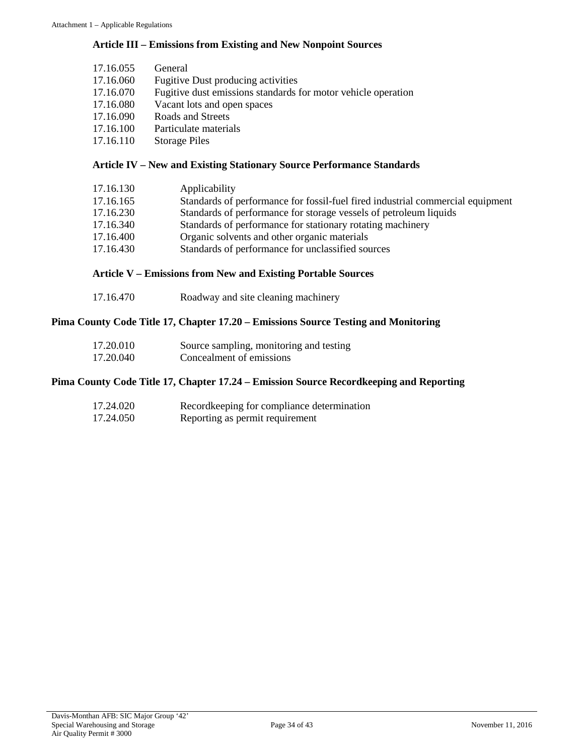# **Article III – Emissions from Existing and New Nonpoint Sources**

| 17.16.055 | General                                                       |
|-----------|---------------------------------------------------------------|
| 17.16.060 | <b>Fugitive Dust producing activities</b>                     |
| 17.16.070 | Fugitive dust emissions standards for motor vehicle operation |
| 17.16.080 | Vacant lots and open spaces                                   |
| 17.16.090 | Roads and Streets                                             |
| 17.16.100 | Particulate materials                                         |
| 17.16.110 | <b>Storage Piles</b>                                          |
|           |                                                               |

# **Article IV – New and Existing Stationary Source Performance Standards**

| 17.16.130 | Applicability                                                                  |
|-----------|--------------------------------------------------------------------------------|
| 17.16.165 | Standards of performance for fossil-fuel fired industrial commercial equipment |
| 17.16.230 | Standards of performance for storage vessels of petroleum liquids              |
| 17.16.340 | Standards of performance for stationary rotating machinery                     |
| 17.16.400 | Organic solvents and other organic materials                                   |
| 17.16.430 | Standards of performance for unclassified sources                              |

# **Article V – Emissions from New and Existing Portable Sources**

# **Pima County Code Title 17, Chapter 17.20 – Emissions Source Testing and Monitoring**

| 17.20.010 | Source sampling, monitoring and testing |
|-----------|-----------------------------------------|
| 17.20.040 | Concealment of emissions                |

# **Pima County Code Title 17, Chapter 17.24 – Emission Source Recordkeeping and Reporting**

| 17.24.020 | Record keeping for compliance determination |
|-----------|---------------------------------------------|
| 17.24.050 | Reporting as permit requirement             |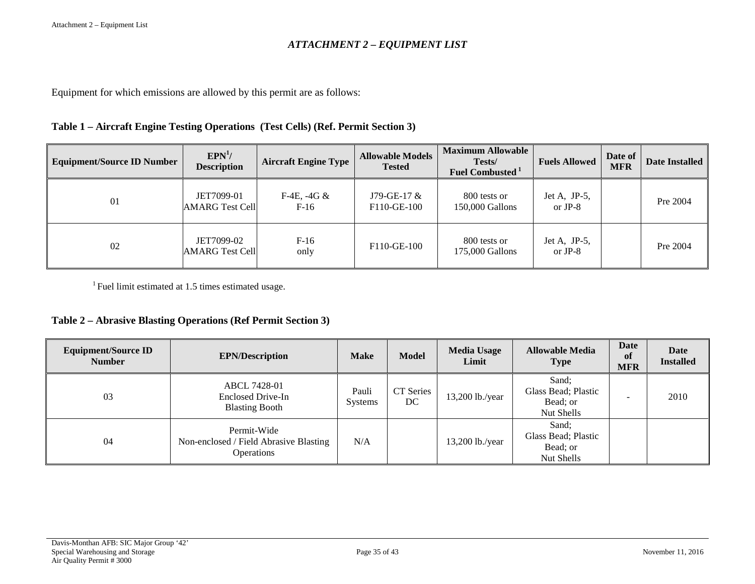# *ATTACHMENT 2 – EQUIPMENT LIST*

Equipment for which emissions are allowed by this permit are as follows:

# **Table 1 – Aircraft Engine Testing Operations (Test Cells) (Ref. Permit Section 3)**

<span id="page-34-0"></span>

| <b>Equipment/Source ID Number</b> | EPN <sup>1</sup> /<br><b>Description</b> | <b>Aircraft Engine Type</b> | <b>Allowable Models</b><br><b>Tested</b> | <b>Maximum Allowable</b><br>Tests/<br><b>Fuel Combusted</b> <sup>1</sup> | <b>Fuels Allowed</b>    | Date of<br><b>MFR</b> | <b>Date Installed</b> |
|-----------------------------------|------------------------------------------|-----------------------------|------------------------------------------|--------------------------------------------------------------------------|-------------------------|-----------------------|-----------------------|
| 01                                | JET7099-01<br><b>AMARG Test Cell</b>     | F-4E, $-4G &$<br>F-16       | $J79-GE-17$ &<br>F110-GE-100             | 800 tests or<br>150,000 Gallons                                          | Jet A, JP-5,<br>or JP-8 |                       | Pre 2004              |
| 02                                | JET7099-02<br><b>AMARG Test Cell</b>     | $F-16$<br>only              | F110-GE-100                              | 800 tests or<br>175,000 Gallons                                          | Jet A, JP-5,<br>or JP-8 |                       | Pre 2004              |

<sup>1</sup> Fuel limit estimated at 1.5 times estimated usage.

# **Table 2 – Abrasive Blasting Operations (Ref Permit Section 3)**

| <b>Equipment/Source ID</b><br><b>Number</b> | <b>EPN/Description</b>                                                     | <b>Make</b>      | <b>Model</b>    | <b>Media Usage</b><br>Limit | <b>Allowable Media</b><br><b>Type</b>                  | Date<br>-of<br><b>MFR</b> | <b>Date</b><br><b>Installed</b> |
|---------------------------------------------|----------------------------------------------------------------------------|------------------|-----------------|-----------------------------|--------------------------------------------------------|---------------------------|---------------------------------|
| 03                                          | ABCL 7428-01<br>Enclosed Drive-In<br><b>Blasting Booth</b>                 | Pauli<br>Systems | CT Series<br>DC | $13,200$ lb./year           | Sand;<br>Glass Bead; Plastic<br>Bead; or<br>Nut Shells | -                         | 2010                            |
| 04                                          | Permit-Wide<br>Non-enclosed / Field Abrasive Blasting<br><b>Operations</b> | N/A              |                 | $13,200$ lb./year           | Sand:<br>Glass Bead; Plastic<br>Bead; or<br>Nut Shells |                           |                                 |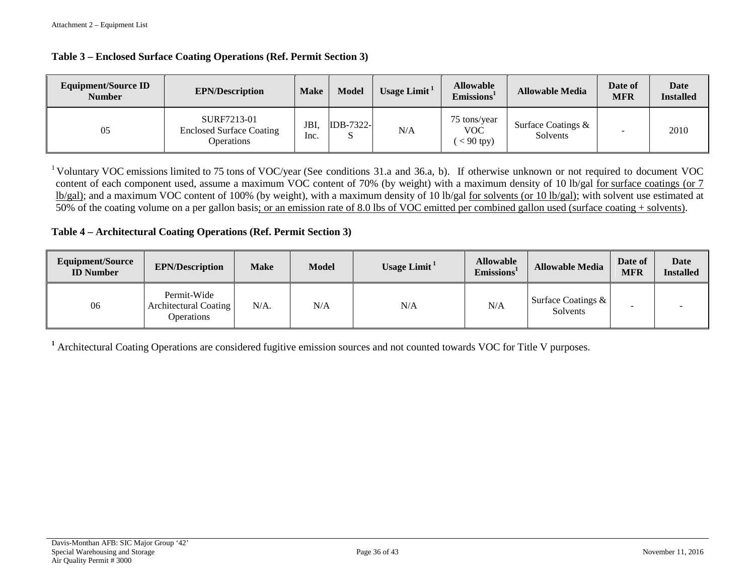#### **Table 3 – Enclosed Surface Coating Operations (Ref. Permit Section 3)**

| <b>Equipment/Source ID</b><br><b>Number</b> | <b>EPN/Description</b>                                              | <b>Make</b> | <b>Model</b>          | Usage Limit $1$ | <b>Allowable</b><br>Emissions <sup>1</sup> | <b>Allowable Media</b>         | Date of<br><b>MFR</b> | <b>Date</b><br><b>Installed</b> |
|---------------------------------------------|---------------------------------------------------------------------|-------------|-----------------------|-----------------|--------------------------------------------|--------------------------------|-----------------------|---------------------------------|
| 05                                          | SURF7213-01<br><b>Enclosed Surface Coating</b><br><b>Operations</b> | JBI<br>Inc. | <b>IDB-7322-</b><br>د | N/A             | 75 tons/year<br><b>VOC</b><br>$< 90$ tpy)  | Surface Coatings &<br>Solvents |                       | 2010                            |

<sup>1</sup> Voluntary VOC emissions limited to 75 tons of VOC/year (See conditions 31.a and 36.a, b). If otherwise unknown or not required to document VOC content of each component used, assume a maximum VOC content of 70% (by weight) with a maximum density of 10 lb/gal for surface coatings (or 7 lb/gal); and a maximum VOC content of 100% (by weight), with a maximum density of 10 lb/gal for solvents (or 10 lb/gal); with solvent use estimated at 50% of the coating volume on a per gallon basis; or an emission rate of 8.0 lbs of VOC emitted per combined gallon used (surface coating + solvents).

# **Table 4 – Architectural Coating Operations (Ref. Permit Section 3)**

| Equipment/Source<br><b>ID</b> Number | <b>EPN/Description</b>                                    | <b>Make</b> | Model | Usage Limit $1$ | <b>Allowable</b><br>Emissions <sup>1</sup> | <b>Allowable Media</b>            | Date of<br><b>MFR</b> | Date<br><b>Installed</b> |
|--------------------------------------|-----------------------------------------------------------|-------------|-------|-----------------|--------------------------------------------|-----------------------------------|-----------------------|--------------------------|
| 06                                   | Permit-Wide<br>Architectural Coating<br><b>Operations</b> | $N/A$ .     | N/A   | N/A             | N/A                                        | Surface Coatings $\&$<br>Solvents |                       |                          |

**<sup>1</sup>** Architectural Coating Operations are considered fugitive emission sources and not counted towards VOC for Title V purposes.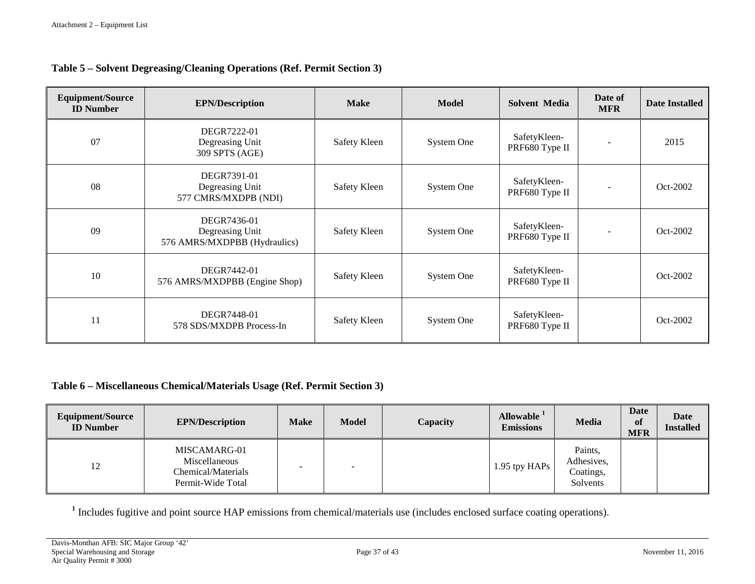# **Table 5 – Solvent Degreasing/Cleaning Operations (Ref. Permit Section 3)**

| <b>Equipment/Source</b><br><b>ID</b> Number | <b>EPN/Description</b>                                         | <b>Make</b>  | <b>Model</b> | <b>Solvent Media</b>           | Date of<br><b>MFR</b>    | <b>Date Installed</b> |
|---------------------------------------------|----------------------------------------------------------------|--------------|--------------|--------------------------------|--------------------------|-----------------------|
| 07                                          | DEGR7222-01<br>Degreasing Unit<br>309 SPTS (AGE)               | Safety Kleen | System One   | SafetyKleen-<br>PRF680 Type II |                          | 2015                  |
| 08                                          | DEGR7391-01<br>Degreasing Unit<br>577 CMRS/MXDPB (NDI)         | Safety Kleen | System One   | SafetyKleen-<br>PRF680 Type II | $\overline{\phantom{a}}$ | Oct-2002              |
| 09                                          | DEGR7436-01<br>Degreasing Unit<br>576 AMRS/MXDPBB (Hydraulics) | Safety Kleen | System One   | SafetyKleen-<br>PRF680 Type II | $\blacksquare$           | Oct-2002              |
| 10                                          | DEGR7442-01<br>576 AMRS/MXDPBB (Engine Shop)                   | Safety Kleen | System One   | SafetyKleen-<br>PRF680 Type II |                          | Oct-2002              |
| 11                                          | DEGR7448-01<br>578 SDS/MXDPB Process-In                        | Safety Kleen | System One   | SafetyKleen-<br>PRF680 Type II |                          | Oct-2002              |

# **Table 6 – Miscellaneous Chemical/Materials Usage (Ref. Permit Section 3)**

| Equipment/Source<br><b>ID</b> Number | <b>EPN/Description</b>                                                   | <b>Make</b> | <b>Model</b> | Capacity | Allowable <sup>1</sup><br><b>Emissions</b> | Media                                          | Date<br>of<br><b>MFR</b> | <b>Date</b><br><b>Installed</b> |
|--------------------------------------|--------------------------------------------------------------------------|-------------|--------------|----------|--------------------------------------------|------------------------------------------------|--------------------------|---------------------------------|
| 12                                   | MISCAMARG-01<br>Miscellaneous<br>Chemical/Materials<br>Permit-Wide Total |             | -            |          | 1.95 tpy HAPs                              | Paints,<br>Adhesives,<br>Coatings,<br>Solvents |                          |                                 |

**<sup>1</sup>** Includes fugitive and point source HAP emissions from chemical/materials use (includes enclosed surface coating operations).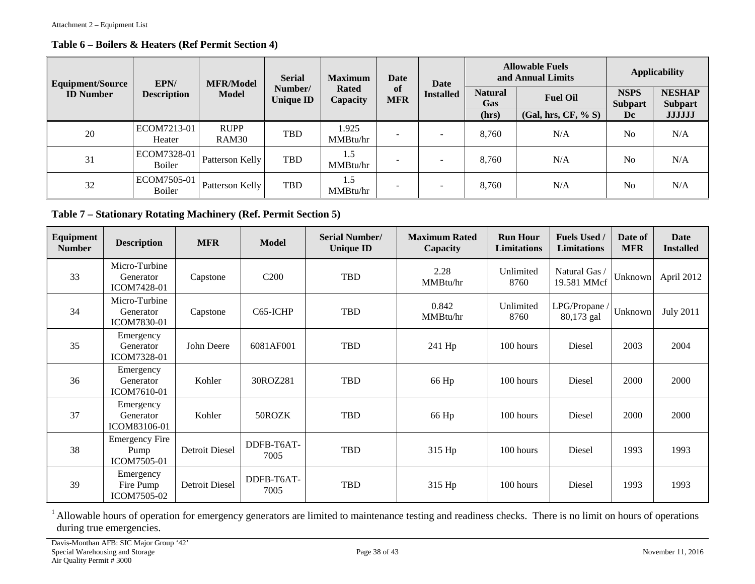# **Table 6 – Boilers & Heaters (Ref Permit Section 4)**

| <b>Equipment/Source</b> | EPN/                         | <b>MFR/Model</b>     | <b>Serial</b>               | <b>Maximum</b>           | <b>Date</b>              | Date                     | <b>Allowable Fuels</b><br>and Annual Limits |                     |                               | <b>Applicability</b>            |
|-------------------------|------------------------------|----------------------|-----------------------------|--------------------------|--------------------------|--------------------------|---------------------------------------------|---------------------|-------------------------------|---------------------------------|
| <b>ID</b> Number        | <b>Description</b>           | <b>Model</b>         | Number/<br><b>Unique ID</b> | <b>Rated</b><br>Capacity | of<br><b>MFR</b>         | <b>Installed</b>         | <b>Natural</b><br><b>Gas</b>                | <b>Fuel Oil</b>     | <b>NSPS</b><br><b>Subpart</b> | <b>NESHAP</b><br><b>Subpart</b> |
|                         |                              |                      |                             |                          |                          |                          | (hrs)                                       | (Gal, hrs, CF, % S) | Dc                            | <b>JJJJJJ</b>                   |
| 20                      | ECOM7213-01<br>Heater        | <b>RUPP</b><br>RAM30 | <b>TBD</b>                  | 1.925<br>MMBtu/hr        | $\overline{\phantom{0}}$ | $\overline{\phantom{a}}$ | 8.760                                       | N/A                 | N <sub>0</sub>                | N/A                             |
| 31                      | ECOM7328-01<br><b>Boiler</b> | Patterson Kelly      | <b>TBD</b>                  | 1.5<br>MMBtu/hr          |                          | $\overline{\phantom{0}}$ | 8.760                                       | N/A                 | N <sub>o</sub>                | N/A                             |
| 32                      | ECOM7505-01<br>Boiler        | Patterson Kelly      | <b>TBD</b>                  | 1.5<br>MMBtu/hr          |                          | ۰                        | 8.760                                       | N/A                 | N <sub>0</sub>                | N/A                             |

# **Table 7 – Stationary Rotating Machinery (Ref. Permit Section 5)**

| Equipment<br><b>Number</b> | <b>Description</b>                           | <b>MFR</b>     | <b>Model</b>       | <b>Serial Number/</b><br><b>Unique ID</b> | <b>Maximum Rated</b><br>Capacity | <b>Run Hour</b><br>Limitations | <b>Fuels Used /</b><br>Limitations | Date of<br><b>MFR</b> | Date<br><b>Installed</b> |
|----------------------------|----------------------------------------------|----------------|--------------------|-------------------------------------------|----------------------------------|--------------------------------|------------------------------------|-----------------------|--------------------------|
| 33                         | Micro-Turbine<br>Generator<br>ICOM7428-01    | Capstone       | C <sub>200</sub>   | <b>TBD</b>                                | 2.28<br>MMBtu/hr                 | Unlimited<br>8760              | Natural Gas /<br>19.581 MMcf       | Unknown               | April 2012               |
| 34                         | Micro-Turbine<br>Generator<br>ICOM7830-01    | Capstone       | C65-ICHP           | <b>TBD</b>                                | 0.842<br>MMBtu/hr                | Unlimited<br>8760              | LPG/Propane /<br>80,173 gal        | Unknown               | <b>July 2011</b>         |
| 35                         | Emergency<br>Generator<br>ICOM7328-01        | John Deere     | 6081AF001          | <b>TBD</b>                                | 241 Hp                           | 100 hours                      | Diesel                             | 2003                  | 2004                     |
| 36                         | Emergency<br>Generator<br>ICOM7610-01        | Kohler         | 30ROZ281           | TBD                                       | 66 Hp                            | 100 hours                      | Diesel                             | 2000                  | 2000                     |
| 37                         | Emergency<br>Generator<br>ICOM83106-01       | Kohler         | 50ROZK             | <b>TBD</b>                                | 66 Hp                            | 100 hours                      | Diesel                             | 2000                  | 2000                     |
| 38                         | <b>Emergency Fire</b><br>Pump<br>ICOM7505-01 | Detroit Diesel | DDFB-T6AT-<br>7005 | <b>TBD</b>                                | 315 Hp                           | 100 hours                      | Diesel                             | 1993                  | 1993                     |
| 39                         | Emergency<br>Fire Pump<br>ICOM7505-02        | Detroit Diesel | DDFB-T6AT-<br>7005 | <b>TBD</b>                                | 315 Hp                           | 100 hours                      | Diesel                             | 1993                  | 1993                     |

<sup>1</sup> Allowable hours of operation for emergency generators are limited to maintenance testing and readiness checks. There is no limit on hours of operations during true emergencies.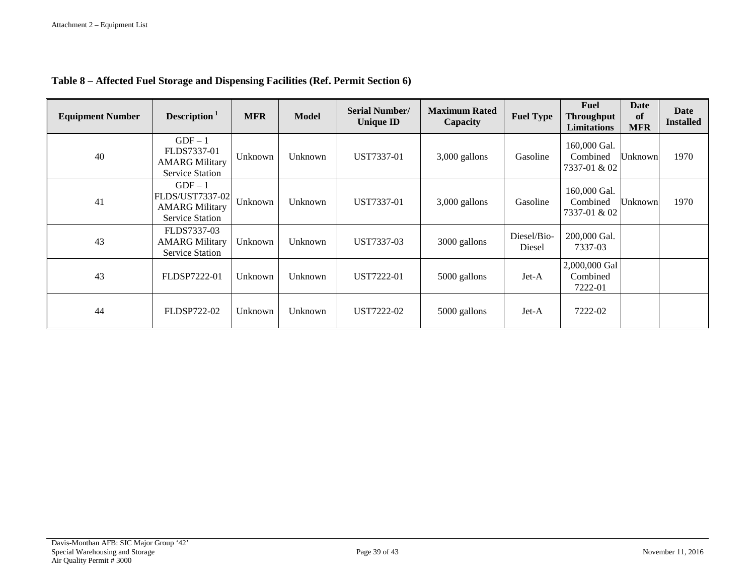| <b>Equipment Number</b> | Description $1$                                                               | <b>MFR</b> | <b>Model</b> | <b>Serial Number/</b><br><b>Unique ID</b> | <b>Maximum Rated</b><br>Capacity | <b>Fuel Type</b>      | <b>Fuel</b><br><b>Throughput</b><br><b>Limitations</b> | <b>Date</b><br>of<br><b>MFR</b> | Date<br><b>Installed</b> |
|-------------------------|-------------------------------------------------------------------------------|------------|--------------|-------------------------------------------|----------------------------------|-----------------------|--------------------------------------------------------|---------------------------------|--------------------------|
| 40                      | $GDF-1$<br>FLDS7337-01<br><b>AMARG Military</b><br><b>Service Station</b>     | Unknown    | Unknown      | UST7337-01                                | 3,000 gallons                    | Gasoline              | 160,000 Gal.<br>Combined<br>7337-01 & 02               | Unknown                         | 1970                     |
| 41                      | $GDF-1$<br>FLDS/UST7337-02<br><b>AMARG Military</b><br><b>Service Station</b> | Unknown    | Unknown      | UST7337-01                                | 3,000 gallons                    | Gasoline              | 160,000 Gal.<br>Combined<br>7337-01 & 02               | Unknown                         | 1970                     |
| 43                      | FLDS7337-03<br><b>AMARG Military</b><br><b>Service Station</b>                | Unknown    | Unknown      | UST7337-03                                | 3000 gallons                     | Diesel/Bio-<br>Diesel | 200,000 Gal.<br>7337-03                                |                                 |                          |
| 43                      | FLDSP7222-01                                                                  | Unknown    | Unknown      | UST7222-01                                | 5000 gallons                     | Jet-A                 | 2,000,000 Gal<br>Combined<br>7222-01                   |                                 |                          |
| 44                      | FLDSP722-02                                                                   | Unknown    | Unknown      | UST7222-02                                | 5000 gallons                     | Jet-A                 | 7222-02                                                |                                 |                          |

# **Table 8 – Affected Fuel Storage and Dispensing Facilities (Ref. Permit Section 6)**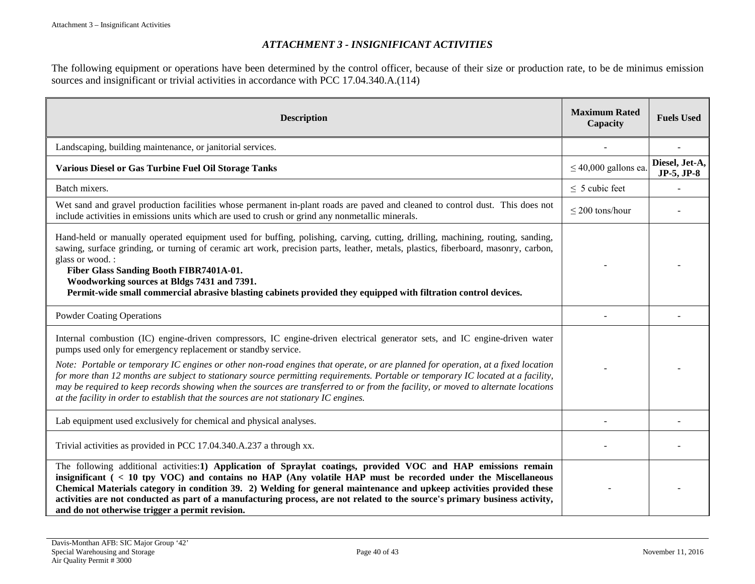# *ATTACHMENT 3 - INSIGNIFICANT ACTIVITIES*

The following equipment or operations have been determined by the control officer, because of their size or production rate, to be de minimus emission sources and insignificant or trivial activities in accordance with PCC 17.04.340.A.(114)

<span id="page-39-0"></span>

| <b>Description</b>                                                                                                                                                                                                                                                                                                                                                                                                                                                                                                                                                                                        | <b>Maximum Rated</b><br>Capacity | <b>Fuels Used</b>            |
|-----------------------------------------------------------------------------------------------------------------------------------------------------------------------------------------------------------------------------------------------------------------------------------------------------------------------------------------------------------------------------------------------------------------------------------------------------------------------------------------------------------------------------------------------------------------------------------------------------------|----------------------------------|------------------------------|
| Landscaping, building maintenance, or janitorial services.                                                                                                                                                                                                                                                                                                                                                                                                                                                                                                                                                |                                  |                              |
| Various Diesel or Gas Turbine Fuel Oil Storage Tanks                                                                                                                                                                                                                                                                                                                                                                                                                                                                                                                                                      | $\leq$ 40,000 gallons ea.        | Diesel, Jet-A,<br>JP-5, JP-8 |
| Batch mixers.                                                                                                                                                                                                                                                                                                                                                                                                                                                                                                                                                                                             | $\leq$ 5 cubic feet              |                              |
| Wet sand and gravel production facilities whose permanent in-plant roads are paved and cleaned to control dust. This does not<br>include activities in emissions units which are used to crush or grind any nonmetallic minerals.                                                                                                                                                                                                                                                                                                                                                                         | $\leq$ 200 tons/hour             |                              |
| Hand-held or manually operated equipment used for buffing, polishing, carving, cutting, drilling, machining, routing, sanding,<br>sawing, surface grinding, or turning of ceramic art work, precision parts, leather, metals, plastics, fiberboard, masonry, carbon,<br>glass or wood.:<br>Fiber Glass Sanding Booth FIBR7401A-01.<br>Woodworking sources at Bldgs 7431 and 7391.<br>Permit-wide small commercial abrasive blasting cabinets provided they equipped with filtration control devices.                                                                                                      |                                  |                              |
| <b>Powder Coating Operations</b>                                                                                                                                                                                                                                                                                                                                                                                                                                                                                                                                                                          |                                  |                              |
| Internal combustion (IC) engine-driven compressors, IC engine-driven electrical generator sets, and IC engine-driven water<br>pumps used only for emergency replacement or standby service.<br>Note: Portable or temporary IC engines or other non-road engines that operate, or are planned for operation, at a fixed location<br>for more than 12 months are subject to stationary source permitting requirements. Portable or temporary IC located at a facility,<br>may be required to keep records showing when the sources are transferred to or from the facility, or moved to alternate locations |                                  |                              |
| at the facility in order to establish that the sources are not stationary IC engines.                                                                                                                                                                                                                                                                                                                                                                                                                                                                                                                     |                                  |                              |
| Lab equipment used exclusively for chemical and physical analyses.                                                                                                                                                                                                                                                                                                                                                                                                                                                                                                                                        |                                  |                              |
| Trivial activities as provided in PCC 17.04.340.A.237 a through xx.                                                                                                                                                                                                                                                                                                                                                                                                                                                                                                                                       |                                  |                              |
| The following additional activities:1) Application of Spraylat coatings, provided VOC and HAP emissions remain<br>insignificant (<10 tpy VOC) and contains no HAP (Any volatile HAP must be recorded under the Miscellaneous<br>Chemical Materials category in condition 39. 2) Welding for general maintenance and upkeep activities provided these<br>activities are not conducted as part of a manufacturing process, are not related to the source's primary business activity,<br>and do not otherwise trigger a permit revision.                                                                    |                                  |                              |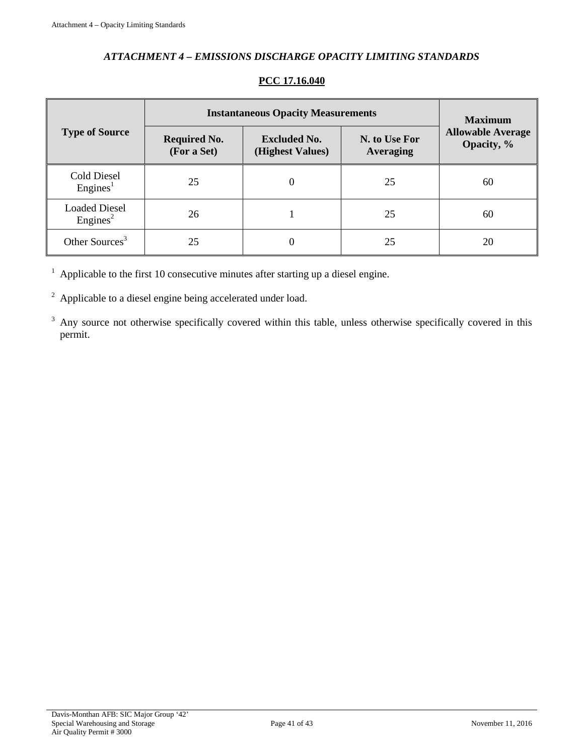# *ATTACHMENT 4 – EMISSIONS DISCHARGE OPACITY LIMITING STANDARDS*

<span id="page-40-0"></span>

|                                              | <b>Instantaneous Opacity Measurements</b> | <b>Maximum</b>                          |                                   |                                        |
|----------------------------------------------|-------------------------------------------|-----------------------------------------|-----------------------------------|----------------------------------------|
| <b>Type of Source</b>                        | <b>Required No.</b><br>(For a Set)        | <b>Excluded No.</b><br>(Highest Values) | N. to Use For<br><b>Averaging</b> | <b>Allowable Average</b><br>Opacity, % |
| <b>Cold Diesel</b><br>Engines <sup>1</sup>   | 25                                        |                                         | 25                                | 60                                     |
| <b>Loaded Diesel</b><br>Engines <sup>2</sup> | 26                                        |                                         | 25                                | 60                                     |
| Other Sources <sup>3</sup>                   | 25                                        |                                         | 25                                | 20                                     |

# **PCC 17.16.040**

 $1$  Applicable to the first 10 consecutive minutes after starting up a diesel engine.

<sup>2</sup> Applicable to a diesel engine being accelerated under load.

<sup>3</sup> Any source not otherwise specifically covered within this table, unless otherwise specifically covered in this permit.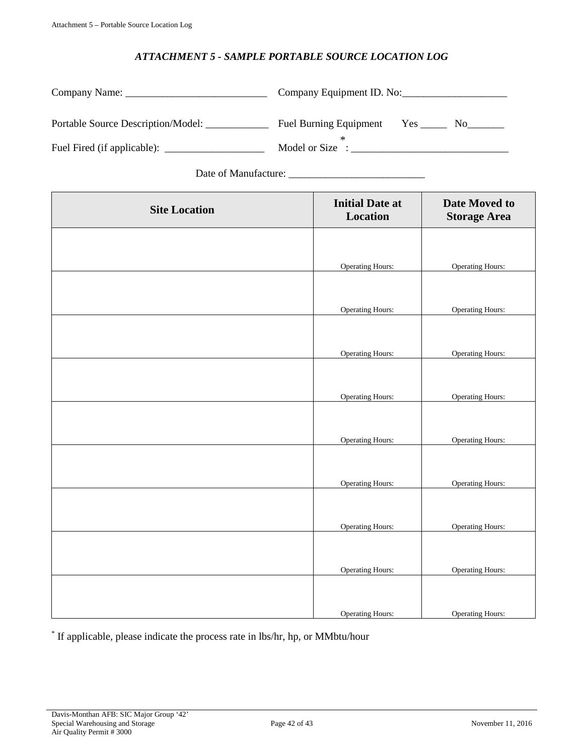# *ATTACHMENT 5 - SAMPLE PORTABLE SOURCE LOCATION LOG*

<span id="page-41-0"></span>

|                                    | Company Equipment ID. No:                    |
|------------------------------------|----------------------------------------------|
| Portable Source Description/Model: | <b>Fuel Burning Equipment</b><br>No results. |
|                                    | Model or Size :                              |

Date of Manufacture: \_\_\_\_\_\_\_\_\_\_\_\_\_\_\_\_\_\_\_\_\_\_\_\_\_\_

| <b>Site Location</b> | <b>Initial Date at</b><br>Location | Date Moved to<br><b>Storage Area</b> |
|----------------------|------------------------------------|--------------------------------------|
|                      |                                    |                                      |
|                      | <b>Operating Hours:</b>            | <b>Operating Hours:</b>              |
|                      |                                    |                                      |
|                      | <b>Operating Hours:</b>            | <b>Operating Hours:</b>              |
|                      |                                    |                                      |
|                      | <b>Operating Hours:</b>            | <b>Operating Hours:</b>              |
|                      |                                    |                                      |
|                      | <b>Operating Hours:</b>            | <b>Operating Hours:</b>              |
|                      |                                    |                                      |
|                      | <b>Operating Hours:</b>            | <b>Operating Hours:</b>              |
|                      |                                    |                                      |
|                      | <b>Operating Hours:</b>            | <b>Operating Hours:</b>              |
|                      |                                    |                                      |
|                      | <b>Operating Hours:</b>            | <b>Operating Hours:</b>              |
|                      |                                    |                                      |
|                      | <b>Operating Hours:</b>            | <b>Operating Hours:</b>              |
|                      |                                    |                                      |
|                      | <b>Operating Hours:</b>            | <b>Operating Hours:</b>              |

\* If applicable, please indicate the process rate in lbs/hr, hp, or MMbtu/hour